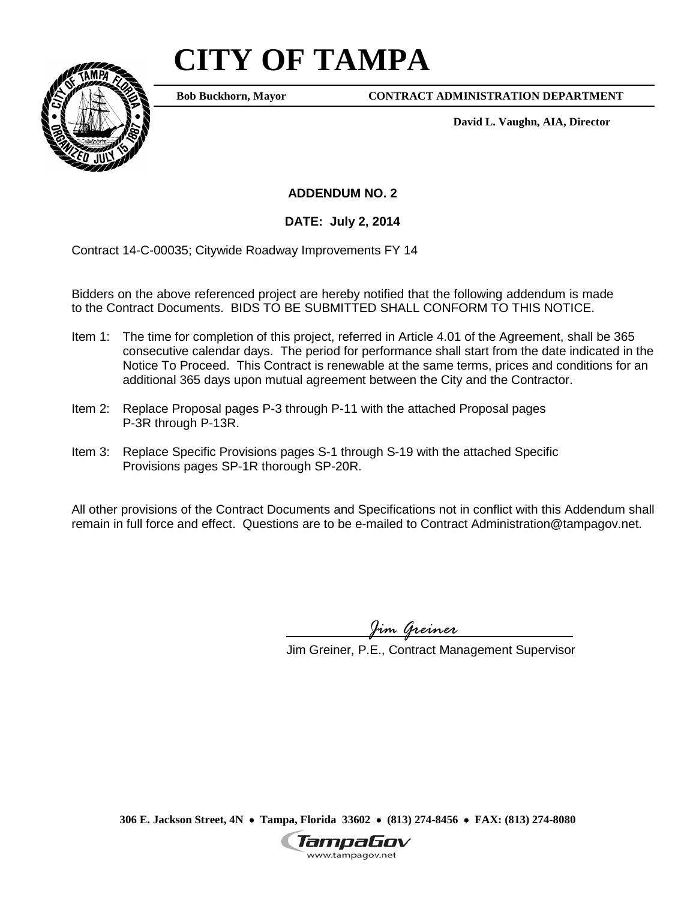# **CITY OF TAMPA**



**Bob Buckhorn, Mayor**

**CONTRACT ADMINISTRATION DEPARTMENT**

**David L. Vaughn, AIA, Director**

**ADDENDUM NO. 2**

**DATE: July 2, 2014**

Contract 14-C-00035; Citywide Roadway Improvements FY 14

Bidders on the above referenced project are hereby notified that the following addendum is made to the Contract Documents. BIDS TO BE SUBMITTED SHALL CONFORM TO THIS NOTICE.

- Item 1: The time for completion of this project, referred in Article 4.01 of the Agreement, shall be 365 consecutive calendar days. The period for performance shall start from the date indicated in the Notice To Proceed. This Contract is renewable at the same terms, prices and conditions for an additional 365 days upon mutual agreement between the City and the Contractor.
- Item 2: Replace Proposal pages P-3 through P-11 with the attached Proposal pages P-3R through P-13R.
- Item 3: Replace Specific Provisions pages S-1 through S-19 with the attached Specific Provisions pages SP-1R thorough SP-20R.

All other provisions of the Contract Documents and Specifications not in conflict with this Addendum shall remain in full force and effect. Questions are to be e-mailed to Contract Administration@tampagov.net.

*Jim Greiner*

Jim Greiner, P.E., Contract Management Supervisor

**306 E. Jackson Street, 4N** • **Tampa, Florida 33602** • **(813) 274-8456** • **FAX: (813) 274-8080**

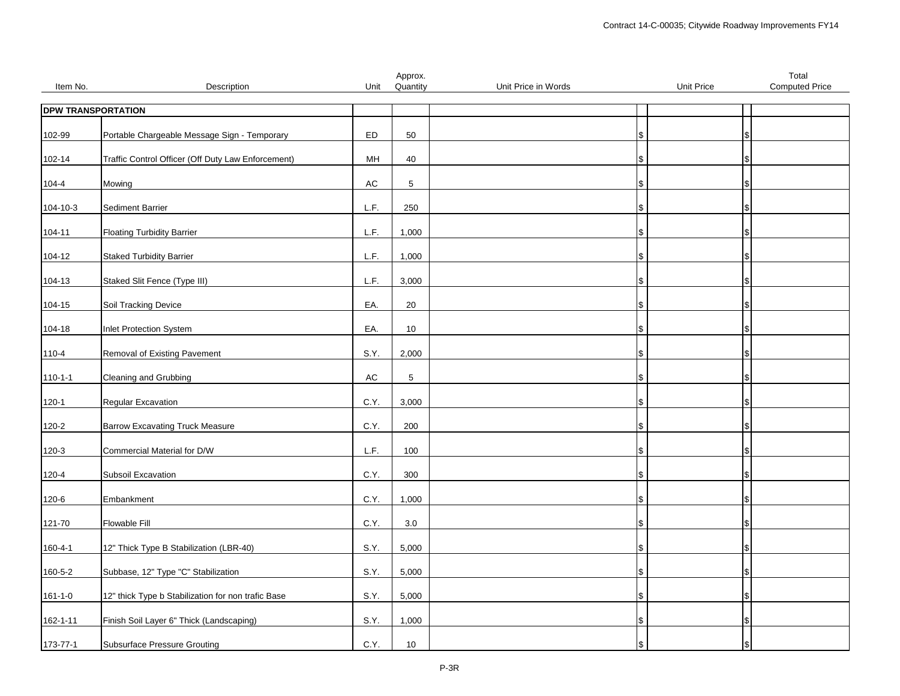|               |                                                    |               | Approx.    |                     |                   | Total                 |
|---------------|----------------------------------------------------|---------------|------------|---------------------|-------------------|-----------------------|
| Item No.      | Description                                        | Unit          | Quantity   | Unit Price in Words | <b>Unit Price</b> | <b>Computed Price</b> |
|               | <b>DPW TRANSPORTATION</b>                          |               |            |                     |                   |                       |
|               |                                                    |               |            |                     |                   |                       |
| 102-99        | Portable Chargeable Message Sign - Temporary       | ED            | 50         |                     |                   |                       |
|               | Traffic Control Officer (Off Duty Law Enforcement) | MH            | 40         | S                   |                   |                       |
| 102-14        |                                                    |               |            |                     |                   |                       |
| $104 - 4$     | Mowing                                             | $\mathsf{AC}$ | $\sqrt{5}$ | S                   |                   |                       |
|               |                                                    |               |            |                     |                   |                       |
| 104-10-3      | Sediment Barrier                                   | L.F.          | 250        |                     | \$                |                       |
| $104 - 11$    | <b>Floating Turbidity Barrier</b>                  | L.F.          | 1,000      | \$                  |                   |                       |
|               |                                                    |               |            |                     |                   |                       |
| 104-12        | <b>Staked Turbidity Barrier</b>                    | L.F.          | 1,000      |                     |                   |                       |
| 104-13        | Staked Slit Fence (Type III)                       | L.F.          | 3,000      |                     | \$                |                       |
|               |                                                    |               |            |                     |                   |                       |
| 104-15        | Soil Tracking Device                               | EA.           | 20         |                     |                   |                       |
| 104-18        | Inlet Protection System                            | EA.           | $10$       | S                   |                   |                       |
|               |                                                    |               |            |                     |                   |                       |
| $110 - 4$     | Removal of Existing Pavement                       | S.Y.          | 2,000      |                     | \$                |                       |
|               | Cleaning and Grubbing                              | $\mathsf{AC}$ | 5          |                     |                   |                       |
| $110 - 1 - 1$ |                                                    |               |            |                     | \$                |                       |
| $120 - 1$     | Regular Excavation                                 | C.Y.          | 3,000      | ۱\$                 |                   |                       |
|               |                                                    |               |            |                     |                   |                       |
| 120-2         | <b>Barrow Excavating Truck Measure</b>             | C.Y.          | 200        |                     |                   |                       |
| 120-3         | Commercial Material for D/W                        | L.F.          | 100        | \$                  |                   |                       |
|               |                                                    |               |            |                     |                   |                       |
| 120-4         | Subsoil Excavation                                 | C.Y.          | 300        | S                   |                   |                       |
| 120-6         | Embankment                                         | C.Y.          | 1,000      | S                   |                   |                       |
|               |                                                    |               |            |                     |                   |                       |
| 121-70        | <b>Flowable Fill</b>                               | C.Y.          | 3.0        | S                   |                   |                       |
| 160-4-1       | 12" Thick Type B Stabilization (LBR-40)            | S.Y.          | 5,000      |                     | \$                |                       |
|               |                                                    |               |            |                     |                   |                       |
| 160-5-2       | Subbase, 12" Type "C" Stabilization                | S.Y.          | 5,000      | l\$                 |                   |                       |
| $161 - 1 - 0$ | 12" thick Type b Stabilization for non trafic Base | S.Y.          | 5,000      | \$                  |                   |                       |
|               |                                                    |               |            |                     |                   |                       |
| 162-1-11      | Finish Soil Layer 6" Thick (Landscaping)           | S.Y.          | 1,000      | \$                  |                   |                       |
|               |                                                    |               |            |                     |                   |                       |
| 173-77-1      | <b>Subsurface Pressure Grouting</b>                | C.Y.          | 10         |                     |                   |                       |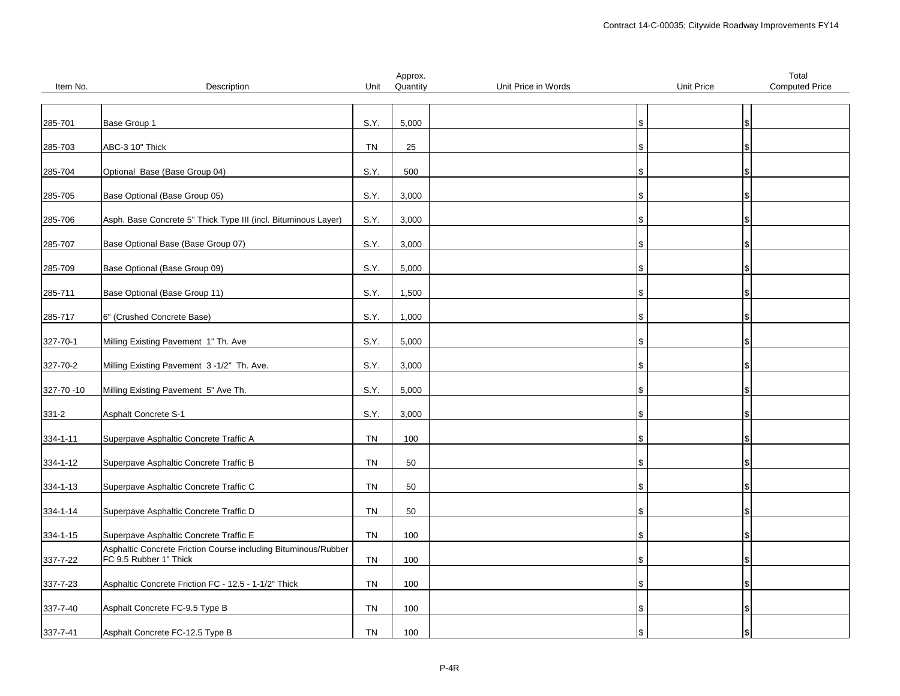|            |                                                                |           | Approx.  |                     |                   | Total                 |
|------------|----------------------------------------------------------------|-----------|----------|---------------------|-------------------|-----------------------|
| Item No.   | Description                                                    | Unit      | Quantity | Unit Price in Words | <b>Unit Price</b> | <b>Computed Price</b> |
|            |                                                                |           |          |                     |                   |                       |
|            |                                                                |           |          |                     |                   |                       |
| 285-701    | Base Group 1                                                   | S.Y.      | 5,000    |                     | Ι\$               |                       |
|            |                                                                |           |          |                     |                   |                       |
| 285-703    | ABC-3 10" Thick                                                | <b>TN</b> | 25       |                     |                   |                       |
|            |                                                                |           |          |                     |                   |                       |
| 285-704    | Optional Base (Base Group 04)                                  | S.Y.      | 500      |                     |                   |                       |
|            |                                                                |           |          |                     |                   |                       |
| 285-705    | Base Optional (Base Group 05)                                  | S.Y.      | 3,000    |                     |                   |                       |
|            |                                                                |           |          |                     |                   |                       |
| 285-706    | Asph. Base Concrete 5" Thick Type III (incl. Bituminous Layer) | S.Y.      | 3,000    |                     |                   |                       |
|            |                                                                |           |          |                     |                   |                       |
| 285-707    | Base Optional Base (Base Group 07)                             | S.Y.      | 3,000    |                     | \$                |                       |
|            |                                                                |           |          |                     |                   |                       |
|            | Base Optional (Base Group 09)                                  | S.Y.      | 5,000    |                     |                   |                       |
| 285-709    |                                                                |           |          |                     |                   |                       |
|            |                                                                |           |          |                     |                   |                       |
| 285-711    | Base Optional (Base Group 11)                                  | S.Y.      | 1,500    |                     |                   |                       |
|            |                                                                |           |          |                     |                   |                       |
| 285-717    | 6" (Crushed Concrete Base)                                     | S.Y.      | 1,000    |                     |                   |                       |
|            |                                                                |           |          |                     |                   |                       |
| 327-70-1   | Milling Existing Pavement 1" Th. Ave                           | S.Y.      | 5,000    |                     |                   |                       |
|            |                                                                |           |          |                     |                   |                       |
| 327-70-2   | Milling Existing Pavement 3-1/2" Th. Ave.                      | S.Y.      | 3,000    |                     | \$                |                       |
|            |                                                                |           |          |                     |                   |                       |
| 327-70 -10 | Milling Existing Pavement 5" Ave Th.                           | S.Y.      | 5,000    |                     |                   |                       |
|            |                                                                |           |          |                     |                   |                       |
| $331 - 2$  | <b>Asphalt Concrete S-1</b>                                    | S.Y.      | 3,000    |                     |                   |                       |
|            |                                                                |           |          |                     |                   |                       |
| 334-1-11   | Superpave Asphaltic Concrete Traffic A                         | <b>TN</b> | 100      |                     |                   |                       |
|            |                                                                |           |          |                     |                   |                       |
| 334-1-12   | Superpave Asphaltic Concrete Traffic B                         | <b>TN</b> | 50       |                     |                   |                       |
|            |                                                                |           |          |                     |                   |                       |
| 334-1-13   | Superpave Asphaltic Concrete Traffic C                         | <b>TN</b> | 50       |                     |                   |                       |
|            |                                                                |           |          |                     |                   |                       |
| 334-1-14   | Superpave Asphaltic Concrete Traffic D                         | <b>TN</b> | 50       |                     |                   |                       |
|            |                                                                |           |          |                     |                   |                       |
| 334-1-15   | Superpave Asphaltic Concrete Traffic E                         | <b>TN</b> | 100      |                     |                   |                       |
|            | Asphaltic Concrete Friction Course including Bituminous/Rubber |           |          |                     |                   |                       |
| 337-7-22   | FC 9.5 Rubber 1" Thick                                         | TN        | 100      |                     |                   |                       |
|            |                                                                |           |          |                     |                   |                       |
| 337-7-23   | Asphaltic Concrete Friction FC - 12.5 - 1-1/2" Thick           | <b>TN</b> | 100      |                     |                   |                       |
|            |                                                                |           |          |                     |                   |                       |
| 337-7-40   | Asphalt Concrete FC-9.5 Type B                                 | <b>TN</b> | 100      |                     |                   |                       |
|            |                                                                |           |          |                     |                   |                       |
| 337-7-41   | Asphalt Concrete FC-12.5 Type B                                | <b>TN</b> | 100      |                     |                   |                       |
|            |                                                                |           |          |                     |                   |                       |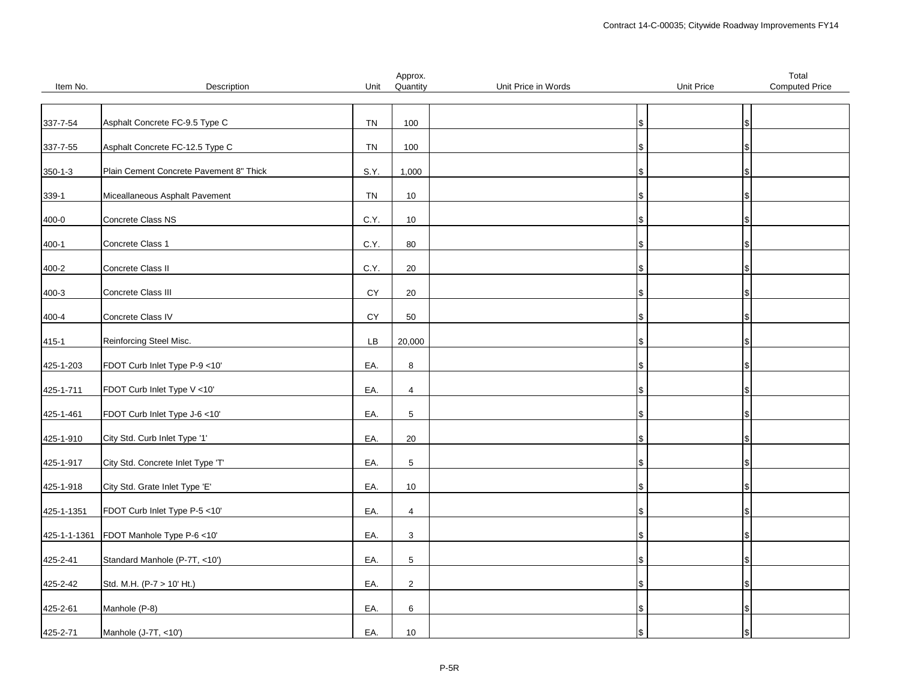|               |                                         |            | Approx.        |                     |                   | Total                 |
|---------------|-----------------------------------------|------------|----------------|---------------------|-------------------|-----------------------|
| Item No.      | Description                             | Unit       | Quantity       | Unit Price in Words | <b>Unit Price</b> | <b>Computed Price</b> |
|               |                                         |            |                |                     |                   |                       |
|               |                                         |            |                |                     |                   |                       |
| 337-7-54      | Asphalt Concrete FC-9.5 Type C          | TN         | 100            |                     | ۱\$               |                       |
|               |                                         |            |                |                     |                   |                       |
| 337-7-55      | Asphalt Concrete FC-12.5 Type C         | TN         | 100            |                     |                   |                       |
|               |                                         |            |                |                     |                   |                       |
| $350 - 1 - 3$ | Plain Cement Concrete Pavement 8" Thick | S.Y.       | 1,000          |                     | S                 |                       |
|               |                                         |            |                |                     |                   |                       |
| 339-1         | Miceallaneous Asphalt Pavement          | TN         | 10             |                     |                   |                       |
|               |                                         |            |                |                     |                   |                       |
| 400-0         | Concrete Class NS                       | C.Y.       | 10             |                     |                   |                       |
|               |                                         |            |                |                     |                   |                       |
| $400 - 1$     | Concrete Class 1                        | C.Y.       | 80             |                     | IS.               |                       |
|               |                                         |            |                |                     |                   |                       |
| 400-2         | Concrete Class II                       | C.Y.       | $20\,$         |                     |                   |                       |
|               | Concrete Class III                      | CY         | 20             |                     |                   |                       |
| $400 - 3$     |                                         |            |                |                     | S                 |                       |
| 400-4         | Concrete Class IV                       | CY         | 50             |                     |                   |                       |
|               |                                         |            |                |                     |                   |                       |
| 415-1         | Reinforcing Steel Misc.                 | ${\sf LB}$ | 20,000         |                     |                   |                       |
|               |                                         |            |                |                     |                   |                       |
| 425-1-203     | FDOT Curb Inlet Type P-9 <10'           | EA.        | $\bf 8$        |                     | IS.               |                       |
|               |                                         |            |                |                     |                   |                       |
| 425-1-711     | FDOT Curb Inlet Type V <10'             | EA.        | $\overline{4}$ |                     | Ъ                 |                       |
|               |                                         |            |                |                     |                   |                       |
| 425-1-461     | FDOT Curb Inlet Type J-6 <10'           | EA.        | $\,$ 5 $\,$    |                     | \$                |                       |
|               |                                         |            |                |                     |                   |                       |
| 425-1-910     | City Std. Curb Inlet Type '1'           | EA.        | 20             |                     |                   |                       |
|               |                                         |            |                |                     |                   |                       |
| 425-1-917     | City Std. Concrete Inlet Type 'T'       | EA.        | $\,$ 5 $\,$    |                     |                   |                       |
|               |                                         |            |                |                     |                   |                       |
| 425-1-918     | City Std. Grate Inlet Type 'E'          | EA.        | 10             |                     |                   |                       |
|               |                                         |            |                |                     |                   |                       |
| 425-1-1351    | FDOT Curb Inlet Type P-5 <10'           | EA.        | $\overline{4}$ |                     |                   |                       |
|               |                                         |            |                |                     |                   |                       |
| 425-1-1-1361  | FDOT Manhole Type P-6 <10'              | EA.        | 3              |                     | S                 |                       |
|               |                                         |            |                |                     |                   |                       |
| 425-2-41      | Standard Manhole (P-7T, <10')           | EA.        | $\,$ 5 $\,$    |                     |                   |                       |
|               |                                         |            |                |                     |                   |                       |
| 425-2-42      | Std. M.H. (P-7 > 10' Ht.)               | EA.        | $\mathbf 2$    |                     |                   |                       |
|               |                                         |            |                |                     |                   |                       |
| 425-2-61      | Manhole (P-8)                           | EA.        | 6              |                     |                   |                       |
|               |                                         |            |                |                     |                   |                       |
| 425-2-71      | Manhole (J-7T, <10')                    | EA.        | $10$           |                     | ۱\$               |                       |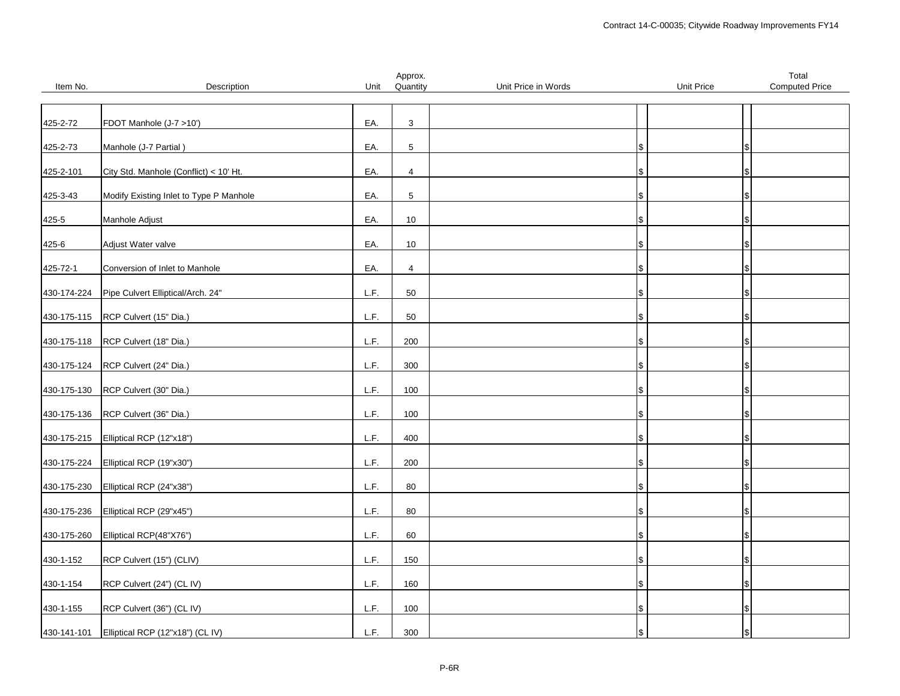|             |                                         |      | Approx.        |                     |                   | Total                 |
|-------------|-----------------------------------------|------|----------------|---------------------|-------------------|-----------------------|
| Item No.    | Description                             | Unit | Quantity       | Unit Price in Words | <b>Unit Price</b> | <b>Computed Price</b> |
|             |                                         |      |                |                     |                   |                       |
|             |                                         |      |                |                     |                   |                       |
| 425-2-72    | FDOT Manhole (J-7 >10')                 | EA.  | 3              |                     |                   |                       |
|             |                                         |      |                |                     |                   |                       |
| 425-2-73    | Manhole (J-7 Partial)                   | EA.  | $\sqrt{5}$     |                     |                   |                       |
|             |                                         |      |                |                     |                   |                       |
| 425-2-101   | City Std. Manhole (Conflict) < 10' Ht.  | EA.  | $\overline{4}$ |                     | \$.               |                       |
|             |                                         |      |                |                     |                   |                       |
| 425-3-43    | Modify Existing Inlet to Type P Manhole | EA.  | $\sqrt{5}$     |                     |                   |                       |
|             |                                         |      |                |                     |                   |                       |
| 425-5       | Manhole Adjust                          | EA.  | 10             |                     |                   |                       |
|             |                                         |      |                |                     |                   |                       |
| 425-6       | Adjust Water valve                      | EA.  | 10             |                     |                   |                       |
|             |                                         |      |                |                     |                   |                       |
| 425-72-1    | Conversion of Inlet to Manhole          | EA.  | $\overline{4}$ |                     |                   |                       |
|             |                                         |      |                |                     |                   |                       |
| 430-174-224 | Pipe Culvert Elliptical/Arch. 24"       | L.F. | 50             |                     | \$                |                       |
|             |                                         |      |                |                     |                   |                       |
| 430-175-115 | RCP Culvert (15" Dia.)                  | L.F. | 50             |                     |                   |                       |
|             |                                         |      |                |                     |                   |                       |
| 430-175-118 | RCP Culvert (18" Dia.)                  | L.F. | 200            |                     |                   |                       |
|             |                                         |      |                |                     |                   |                       |
| 430-175-124 | RCP Culvert (24" Dia.)                  | L.F. | 300            |                     |                   |                       |
|             |                                         |      |                |                     | \$                |                       |
|             |                                         |      |                |                     |                   |                       |
| 430-175-130 | RCP Culvert (30" Dia.)                  | L.F. | 100            |                     |                   |                       |
|             |                                         |      |                |                     |                   |                       |
| 430-175-136 | RCP Culvert (36" Dia.)                  | L.F. | 100            |                     | \$                |                       |
|             |                                         |      |                |                     |                   |                       |
| 430-175-215 | Elliptical RCP (12"x18")                | L.F. | 400            |                     |                   |                       |
|             |                                         |      |                |                     |                   |                       |
| 430-175-224 | Elliptical RCP (19"x30")                | L.F. | 200            |                     |                   |                       |
|             |                                         |      |                |                     |                   |                       |
| 430-175-230 | Elliptical RCP (24"x38")                | L.F. | 80             |                     | \$                |                       |
|             |                                         |      |                |                     |                   |                       |
| 430-175-236 | Elliptical RCP (29"x45")                | L.F. | 80             |                     |                   |                       |
|             |                                         |      |                |                     |                   |                       |
| 430-175-260 | Elliptical RCP(48"X76")                 | L.F. | 60             |                     | \$                |                       |
|             |                                         |      |                |                     |                   |                       |
| 430-1-152   | RCP Culvert (15") (CLIV)                | L.F. | 150            |                     |                   |                       |
|             |                                         |      |                |                     |                   |                       |
| 430-1-154   | RCP Culvert (24") (CL IV)               | L.F. | 160            |                     |                   |                       |
|             |                                         |      |                |                     |                   |                       |
| 430-1-155   | RCP Culvert (36") (CL IV)               | L.F. | 100            |                     |                   |                       |
|             |                                         |      |                |                     |                   |                       |
| 430-141-101 | Elliptical RCP (12"x18") (CL IV)        | L.F. | 300            |                     | S                 |                       |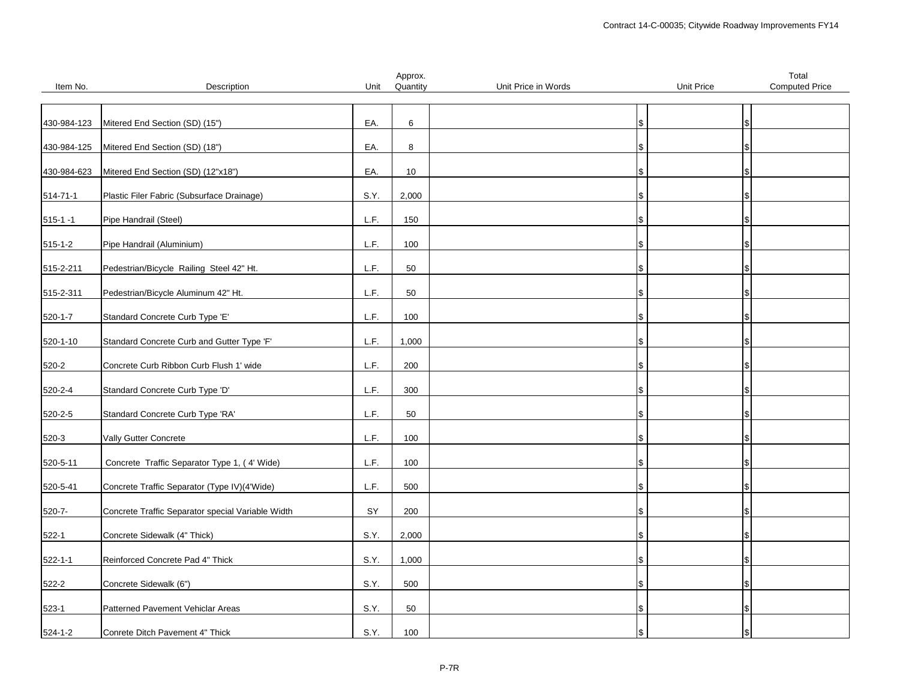|                |                                                   |      | Approx.  |                     |                   | Total                 |
|----------------|---------------------------------------------------|------|----------|---------------------|-------------------|-----------------------|
| Item No.       | Description                                       | Unit | Quantity | Unit Price in Words | <b>Unit Price</b> | <b>Computed Price</b> |
|                |                                                   |      |          |                     |                   |                       |
| 430-984-123    | Mitered End Section (SD) (15")                    | EA.  | 6        |                     | \$                |                       |
|                |                                                   |      |          |                     |                   |                       |
| 430-984-125    | Mitered End Section (SD) (18")                    | EA.  | 8        |                     |                   |                       |
|                |                                                   |      |          |                     |                   |                       |
| 430-984-623    | Mitered End Section (SD) (12"x18")                | EA.  | 10       |                     | \$                |                       |
|                |                                                   | S.Y. |          |                     |                   |                       |
| $514 - 71 - 1$ | Plastic Filer Fabric (Subsurface Drainage)        |      | 2,000    |                     |                   |                       |
| $515 - 1 - 1$  | Pipe Handrail (Steel)                             | L.F. | 150      |                     |                   |                       |
|                |                                                   |      |          |                     |                   |                       |
| $515 - 1 - 2$  | Pipe Handrail (Aluminium)                         | L.F. | 100      |                     | ۱\$               |                       |
|                |                                                   |      |          |                     |                   |                       |
| 515-2-211      | Pedestrian/Bicycle Railing Steel 42" Ht.          | L.F. | 50       |                     |                   |                       |
| 515-2-311      | Pedestrian/Bicycle Aluminum 42" Ht.               | L.F. | 50       |                     | \$                |                       |
|                |                                                   |      |          |                     |                   |                       |
| $520 - 1 - 7$  | Standard Concrete Curb Type 'E'                   | L.F. | 100      |                     |                   |                       |
|                |                                                   |      |          |                     |                   |                       |
| 520-1-10       | Standard Concrete Curb and Gutter Type 'F'        | L.F. | 1,000    |                     | \$                |                       |
| 520-2          | Concrete Curb Ribbon Curb Flush 1' wide           | L.F. | 200      |                     | l\$               |                       |
|                |                                                   |      |          |                     |                   |                       |
| 520-2-4        | Standard Concrete Curb Type 'D'                   | L.F. | 300      |                     |                   |                       |
|                |                                                   |      |          |                     |                   |                       |
| 520-2-5        | Standard Concrete Curb Type 'RA'                  | L.F. | 50       |                     | \$                |                       |
|                |                                                   |      |          |                     |                   |                       |
| 520-3          | Vally Gutter Concrete                             | L.F. | 100      |                     |                   |                       |
| 520-5-11       | Concrete Traffic Separator Type 1, (4' Wide)      | L.F. | 100      |                     |                   |                       |
|                |                                                   |      |          |                     |                   |                       |
| 520-5-41       | Concrete Traffic Separator (Type IV)(4'Wide)      | L.F. | 500      |                     | S.                |                       |
|                |                                                   |      |          |                     |                   |                       |
| $520 - 7 -$    | Concrete Traffic Separator special Variable Width | SY   | 200      |                     | \$                |                       |
|                |                                                   |      | 2,000    |                     |                   |                       |
| $522 - 1$      | Concrete Sidewalk (4" Thick)                      | S.Y. |          |                     | \$                |                       |
| $522 - 1 - 1$  | Reinforced Concrete Pad 4" Thick                  | S.Y. | 1,000    |                     |                   |                       |
|                |                                                   |      |          |                     |                   |                       |
| 522-2          | Concrete Sidewalk (6")                            | S.Y. | 500      |                     |                   |                       |
|                |                                                   |      |          |                     |                   |                       |
| $523-1$        | Patterned Pavement Vehiclar Areas                 | S.Y. | 50       |                     | \$                |                       |
| $524 - 1 - 2$  | Conrete Ditch Pavement 4" Thick                   | S.Y. | 100      |                     | \$                |                       |
|                |                                                   |      |          |                     |                   |                       |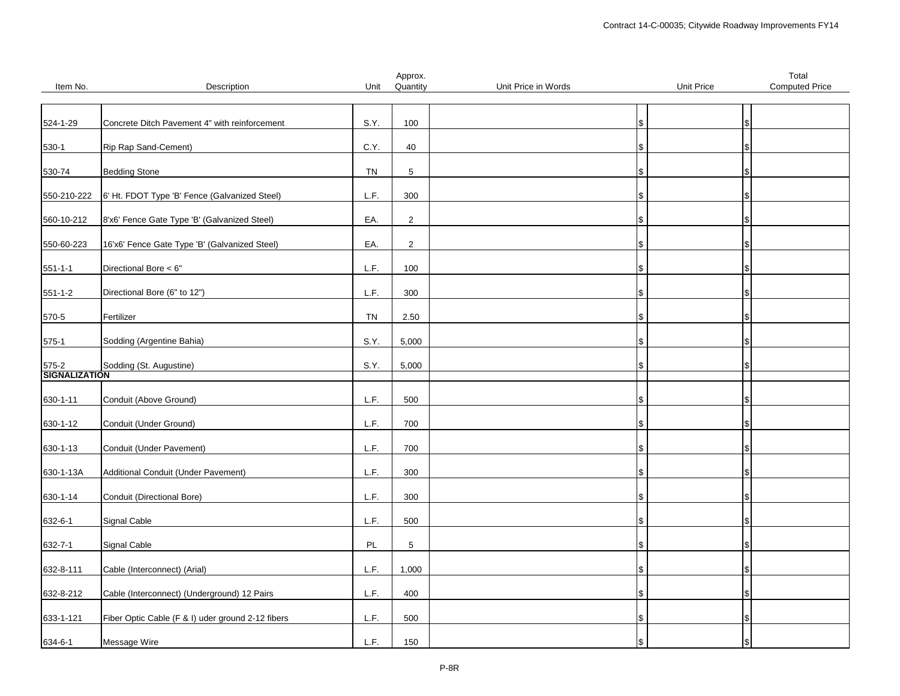|                             |                                                   |      | Approx.        |                     |            | Total                 |
|-----------------------------|---------------------------------------------------|------|----------------|---------------------|------------|-----------------------|
| Item No.                    | Description                                       | Unit | Quantity       | Unit Price in Words | Unit Price | <b>Computed Price</b> |
|                             |                                                   |      |                |                     |            |                       |
|                             |                                                   |      |                |                     |            |                       |
| 524-1-29                    | Concrete Ditch Pavement 4" with reinforcement     | S.Y. | 100            |                     | \$         |                       |
|                             |                                                   |      |                |                     |            |                       |
|                             |                                                   |      |                |                     |            |                       |
| $530-1$                     | Rip Rap Sand-Cement)                              | C.Y. | 40             |                     |            |                       |
|                             |                                                   |      |                |                     |            |                       |
| 530-74                      | <b>Bedding Stone</b>                              | TN   | 5              |                     | \$         |                       |
|                             |                                                   |      |                |                     |            |                       |
|                             |                                                   |      |                |                     |            |                       |
| 550-210-222                 | 6' Ht. FDOT Type 'B' Fence (Galvanized Steel)     | L.F. | 300            |                     |            |                       |
|                             |                                                   |      |                |                     |            |                       |
| 560-10-212                  | 8'x6' Fence Gate Type 'B' (Galvanized Steel)      | EA.  | $\overline{2}$ |                     | æ.         |                       |
|                             |                                                   |      |                |                     |            |                       |
|                             | 16'x6' Fence Gate Type 'B' (Galvanized Steel)     | EA.  | $\overline{2}$ |                     |            |                       |
| 550-60-223                  |                                                   |      |                |                     |            |                       |
|                             |                                                   |      |                |                     |            |                       |
| $551 - 1 - 1$               | Directional Bore < 6"                             | L.F. | 100            |                     |            |                       |
|                             |                                                   |      |                |                     |            |                       |
| $551 - 1 - 2$               | Directional Bore (6" to 12")                      | L.F. | 300            |                     | \$         |                       |
|                             |                                                   |      |                |                     |            |                       |
|                             |                                                   |      |                |                     |            |                       |
| 570-5                       | Fertilizer                                        | TN   | 2.50           |                     |            |                       |
|                             |                                                   |      |                |                     |            |                       |
| $575-1$                     | Sodding (Argentine Bahia)                         | S.Y. | 5,000          |                     |            |                       |
|                             |                                                   |      |                |                     |            |                       |
|                             |                                                   |      |                |                     |            |                       |
| 575-2 Sold<br>SIGNALIZATION | Sodding (St. Augustine)                           | S.Y. | 5,000          |                     |            |                       |
|                             |                                                   |      |                |                     |            |                       |
|                             |                                                   |      |                |                     |            |                       |
| 630-1-11                    | Conduit (Above Ground)                            | L.F. | 500            |                     |            |                       |
|                             |                                                   |      |                |                     |            |                       |
| 630-1-12                    | Conduit (Under Ground)                            | L.F. | 700            |                     | \$         |                       |
|                             |                                                   |      |                |                     |            |                       |
|                             |                                                   |      |                |                     |            |                       |
| 630-1-13                    | Conduit (Under Pavement)                          | L.F. | 700            |                     |            |                       |
|                             |                                                   |      |                |                     |            |                       |
| 630-1-13A                   | Additional Conduit (Under Pavement)               | L.F. | 300            |                     |            |                       |
|                             |                                                   |      |                |                     |            |                       |
|                             |                                                   |      |                |                     |            |                       |
| 630-1-14                    | Conduit (Directional Bore)                        | L.F. | 300            |                     | \$         |                       |
|                             |                                                   |      |                |                     |            |                       |
| 632-6-1                     | Signal Cable                                      | L.F. | 500            |                     |            |                       |
|                             |                                                   |      |                |                     |            |                       |
| 632-7-1                     | Signal Cable                                      | PL   | $\,$ 5 $\,$    |                     |            |                       |
|                             |                                                   |      |                |                     |            |                       |
|                             |                                                   |      |                |                     |            |                       |
| 632-8-111                   | Cable (Interconnect) (Arial)                      | L.F. | 1,000          |                     | \$         |                       |
|                             |                                                   |      |                |                     |            |                       |
| 632-8-212                   | Cable (Interconnect) (Underground) 12 Pairs       | L.F. | 400            |                     |            |                       |
|                             |                                                   |      |                |                     |            |                       |
|                             |                                                   |      |                |                     |            |                       |
| 633-1-121                   | Fiber Optic Cable (F & I) uder ground 2-12 fibers | L.F. | 500            |                     | \$         |                       |
|                             |                                                   |      |                |                     |            |                       |
| 634-6-1                     | Message Wire                                      | L.F. | 150            |                     |            |                       |
|                             |                                                   |      |                |                     |            |                       |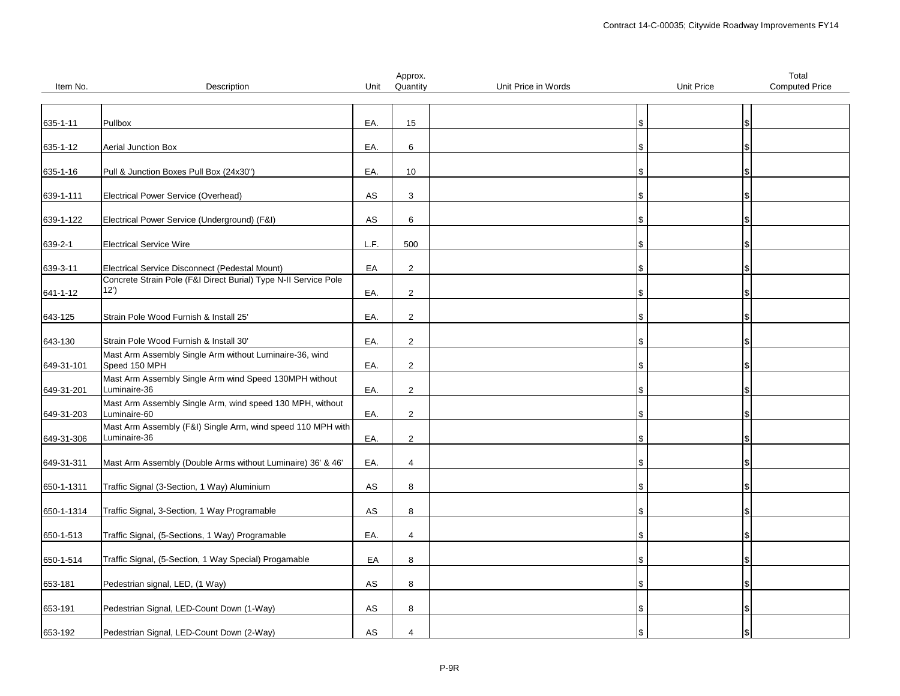|            |                                                                                                                   |            | Approx.        |                     |            | Total                 |
|------------|-------------------------------------------------------------------------------------------------------------------|------------|----------------|---------------------|------------|-----------------------|
| Item No.   | Description                                                                                                       | Unit       | Quantity       | Unit Price in Words | Unit Price | <b>Computed Price</b> |
|            |                                                                                                                   |            |                |                     |            |                       |
| 635-1-11   | Pullbox                                                                                                           | EA.        | 15             |                     | \$         |                       |
|            |                                                                                                                   |            |                |                     |            |                       |
| 635-1-12   | <b>Aerial Junction Box</b>                                                                                        | EA.        | 6              |                     | \$         |                       |
|            |                                                                                                                   |            |                |                     |            |                       |
| 635-1-16   | Pull & Junction Boxes Pull Box (24x30")                                                                           | EA.        | 10             |                     | \$         |                       |
|            |                                                                                                                   |            |                |                     |            |                       |
| 639-1-111  | Electrical Power Service (Overhead)                                                                               | AS         | 3              |                     | S          |                       |
|            |                                                                                                                   |            |                |                     |            |                       |
| 639-1-122  | Electrical Power Service (Underground) (F&I)                                                                      | AS         | 6              |                     | \$         |                       |
|            |                                                                                                                   |            |                |                     |            |                       |
| 639-2-1    | <b>Electrical Service Wire</b>                                                                                    | L.F.       | 500            |                     | \$         |                       |
|            |                                                                                                                   |            |                |                     |            |                       |
| 639-3-11   | Electrical Service Disconnect (Pedestal Mount)<br>Concrete Strain Pole (F&I Direct Burial) Type N-II Service Pole | EA         | $\overline{2}$ |                     | \$         |                       |
|            | 12')                                                                                                              | EA.        | $\overline{2}$ |                     | \$         |                       |
| 641-1-12   |                                                                                                                   |            |                |                     |            |                       |
| 643-125    | Strain Pole Wood Furnish & Install 25'                                                                            | EA.        | $\overline{2}$ |                     | S          |                       |
|            |                                                                                                                   |            |                |                     |            |                       |
| 643-130    | Strain Pole Wood Furnish & Install 30'                                                                            | EA.        | $\overline{2}$ |                     | \$         |                       |
|            | Mast Arm Assembly Single Arm without Luminaire-36, wind                                                           |            |                |                     |            |                       |
| 649-31-101 | Speed 150 MPH                                                                                                     | EA.        | $\overline{2}$ |                     | Ι\$        |                       |
|            | Mast Arm Assembly Single Arm wind Speed 130MPH without                                                            |            |                |                     |            |                       |
| 649-31-201 | Luminaire-36                                                                                                      | EA.        | 2              |                     | \$         |                       |
|            | Mast Arm Assembly Single Arm, wind speed 130 MPH, without                                                         |            |                |                     |            |                       |
| 649-31-203 | Luminaire-60                                                                                                      | EA.        | 2              |                     | \$         |                       |
|            | Mast Arm Assembly (F&I) Single Arm, wind speed 110 MPH with<br>Luminaire-36                                       |            |                |                     |            |                       |
| 649-31-306 |                                                                                                                   | EA.        | $\overline{2}$ |                     | \$         |                       |
| 649-31-311 | Mast Arm Assembly (Double Arms without Luminaire) 36' & 46'                                                       | EA.        | 4              |                     | \$         |                       |
|            |                                                                                                                   |            |                |                     |            |                       |
| 650-1-1311 | Traffic Signal (3-Section, 1 Way) Aluminium                                                                       | AS         | 8              |                     | \$         |                       |
|            |                                                                                                                   |            |                |                     |            |                       |
| 650-1-1314 | Traffic Signal, 3-Section, 1 Way Programable                                                                      | AS         | 8              |                     | \$         |                       |
|            |                                                                                                                   |            |                |                     |            |                       |
| 650-1-513  | Traffic Signal, (5-Sections, 1 Way) Programable                                                                   | EA.        | $\overline{4}$ |                     | \$         |                       |
|            |                                                                                                                   |            |                |                     |            |                       |
| 650-1-514  | Traffic Signal, (5-Section, 1 Way Special) Progamable                                                             | EA         | 8              |                     | S          |                       |
|            |                                                                                                                   |            |                |                     |            |                       |
| 653-181    | Pedestrian signal, LED, (1 Way)                                                                                   | ${\sf AS}$ | 8              |                     | l S        |                       |
|            |                                                                                                                   |            |                |                     |            |                       |
| 653-191    | Pedestrian Signal, LED-Count Down (1-Way)                                                                         | AS         | 8              |                     | \$         |                       |
| 653-192    | Pedestrian Signal, LED-Count Down (2-Way)                                                                         | AS         | $\overline{4}$ |                     | \$         |                       |
|            |                                                                                                                   |            |                |                     |            |                       |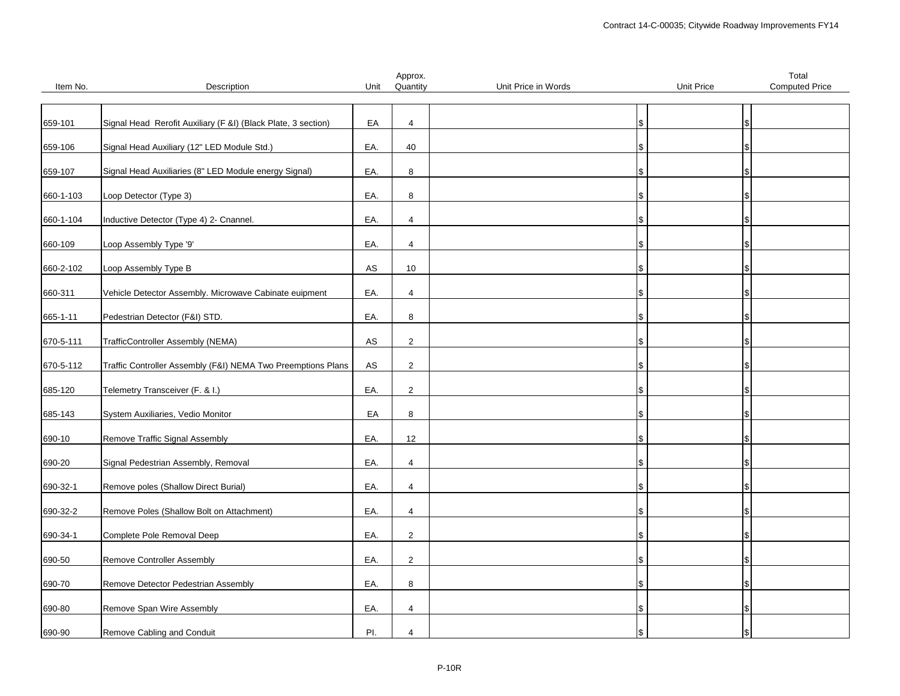|           |                                                               |            | Approx.        |                     |                   | Total                 |
|-----------|---------------------------------------------------------------|------------|----------------|---------------------|-------------------|-----------------------|
| Item No.  | Description                                                   | Unit       | Quantity       | Unit Price in Words | <b>Unit Price</b> | <b>Computed Price</b> |
|           |                                                               |            |                |                     |                   |                       |
|           |                                                               |            |                |                     |                   |                       |
| 659-101   | Signal Head Rerofit Auxiliary (F &I) (Black Plate, 3 section) | EA         | $\overline{4}$ |                     | \$                |                       |
|           |                                                               |            |                |                     |                   |                       |
| 659-106   | Signal Head Auxiliary (12" LED Module Std.)                   | EA.        | 40             |                     | S                 |                       |
|           |                                                               |            |                |                     |                   |                       |
| 659-107   | Signal Head Auxiliaries (8" LED Module energy Signal)         | EA.        | 8              |                     | \$                |                       |
|           |                                                               |            |                |                     |                   |                       |
| 660-1-103 | Loop Detector (Type 3)                                        | EA.        | 8              |                     |                   |                       |
|           |                                                               |            |                |                     |                   |                       |
| 660-1-104 | Inductive Detector (Type 4) 2- Cnannel.                       | EA.        | 4              |                     |                   |                       |
|           |                                                               |            |                |                     |                   |                       |
| 660-109   | Loop Assembly Type '9'                                        | EA.        | $\overline{4}$ |                     | I\$               |                       |
|           |                                                               |            |                |                     |                   |                       |
| 660-2-102 | Loop Assembly Type B                                          | ${\sf AS}$ | 10             |                     | \$                |                       |
|           |                                                               |            |                |                     |                   |                       |
| 660-311   | Vehicle Detector Assembly. Microwave Cabinate euipment        | EA.        | 4              |                     |                   |                       |
|           |                                                               |            |                |                     |                   |                       |
| 665-1-11  | Pedestrian Detector (F&I) STD.                                | EA.        | 8              |                     |                   |                       |
|           |                                                               |            |                |                     |                   |                       |
| 670-5-111 | TrafficController Assembly (NEMA)                             | AS         | $\overline{2}$ |                     | S                 |                       |
|           |                                                               |            |                |                     |                   |                       |
| 670-5-112 | Traffic Controller Assembly (F&I) NEMA Two Preemptions Plans  | AS         | $\overline{2}$ |                     | \$                |                       |
|           |                                                               |            |                |                     |                   |                       |
| 685-120   | Telemetry Transceiver (F. & I.)                               | EA.        | $\overline{2}$ |                     |                   |                       |
|           |                                                               |            |                |                     |                   |                       |
|           |                                                               | EA         | 8              |                     |                   |                       |
| 685-143   | System Auxiliaries, Vedio Monitor                             |            |                |                     |                   |                       |
|           |                                                               |            | 12             |                     |                   |                       |
| 690-10    | Remove Traffic Signal Assembly                                | EA.        |                |                     |                   |                       |
|           |                                                               |            |                |                     |                   |                       |
| 690-20    | Signal Pedestrian Assembly, Removal                           | EA.        | 4              |                     | \$                |                       |
|           |                                                               |            |                |                     |                   |                       |
| 690-32-1  | Remove poles (Shallow Direct Burial)                          | EA.        | $\overline{4}$ |                     | \$                |                       |
|           |                                                               |            |                |                     |                   |                       |
| 690-32-2  | Remove Poles (Shallow Bolt on Attachment)                     | EA.        | 4              |                     | \$                |                       |
|           |                                                               |            |                |                     |                   |                       |
| 690-34-1  | Complete Pole Removal Deep                                    | EA.        | $\overline{2}$ |                     | S                 |                       |
|           |                                                               |            |                |                     |                   |                       |
| 690-50    | Remove Controller Assembly                                    | EA.        | $\overline{2}$ |                     |                   |                       |
|           |                                                               |            |                |                     |                   |                       |
| 690-70    | Remove Detector Pedestrian Assembly                           | EA.        | 8              |                     | \$                |                       |
|           |                                                               |            |                |                     |                   |                       |
| 690-80    | Remove Span Wire Assembly                                     | EA.        | 4              |                     | \$                |                       |
|           |                                                               |            |                |                     |                   |                       |
| 690-90    | Remove Cabling and Conduit                                    | PI.        | 4              |                     | \$                |                       |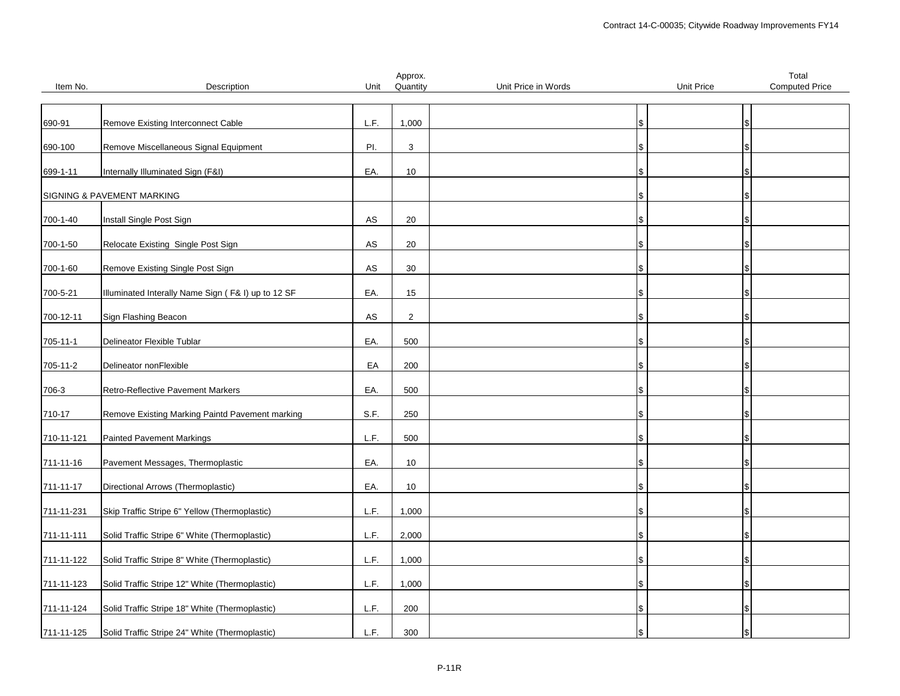|            |                                                    |               | Approx.        |                     |                   | Total                 |
|------------|----------------------------------------------------|---------------|----------------|---------------------|-------------------|-----------------------|
| Item No.   | Description                                        | Unit          | Quantity       | Unit Price in Words | <b>Unit Price</b> | <b>Computed Price</b> |
|            |                                                    |               |                |                     |                   |                       |
|            |                                                    |               |                |                     |                   |                       |
| 690-91     | Remove Existing Interconnect Cable                 | L.F.          | 1,000          |                     | ι\$               |                       |
|            |                                                    |               |                |                     |                   |                       |
| 690-100    | Remove Miscellaneous Signal Equipment              | PI.           | 3              |                     |                   |                       |
|            |                                                    |               |                |                     |                   |                       |
| 699-1-11   | Internally Illuminated Sign (F&I)                  | EA.           | 10             |                     |                   |                       |
|            |                                                    |               |                |                     |                   |                       |
|            | SIGNING & PAVEMENT MARKING                         |               |                |                     |                   |                       |
|            |                                                    | $\mathsf{AS}$ |                |                     |                   |                       |
| 700-1-40   | Install Single Post Sign                           |               | 20             |                     |                   |                       |
| 700-1-50   | Relocate Existing Single Post Sign                 | ${\sf AS}$    | 20             |                     |                   |                       |
|            |                                                    |               |                |                     | \$                |                       |
| 700-1-60   | Remove Existing Single Post Sign                   | $\mathsf{AS}$ | 30             |                     |                   |                       |
|            |                                                    |               |                |                     |                   |                       |
| 700-5-21   | Illuminated Interally Name Sign (F& I) up to 12 SF | EA.           | 15             |                     |                   |                       |
|            |                                                    |               |                |                     |                   |                       |
| 700-12-11  | Sign Flashing Beacon                               | ${\sf AS}$    | $\overline{2}$ |                     |                   |                       |
|            |                                                    |               |                |                     |                   |                       |
| 705-11-1   | Delineator Flexible Tublar                         | EA.           | 500            |                     |                   |                       |
|            |                                                    |               |                |                     |                   |                       |
| 705-11-2   | Delineator nonFlexible                             | EA            | 200            |                     | \$                |                       |
|            |                                                    |               |                |                     |                   |                       |
| 706-3      | Retro-Reflective Pavement Markers                  | EA.           | 500            |                     |                   |                       |
|            |                                                    |               |                |                     |                   |                       |
| 710-17     | Remove Existing Marking Paintd Pavement marking    | S.F.          | 250            |                     |                   |                       |
|            |                                                    |               |                |                     |                   |                       |
| 710-11-121 | <b>Painted Pavement Markings</b>                   | L.F.          | 500            |                     |                   |                       |
|            |                                                    |               |                |                     |                   |                       |
| 711-11-16  | Pavement Messages, Thermoplastic                   | EA.           | 10             |                     |                   |                       |
|            |                                                    |               |                |                     |                   |                       |
| 711-11-17  | Directional Arrows (Thermoplastic)                 | EA.           | 10             |                     |                   |                       |
|            |                                                    |               |                |                     |                   |                       |
| 711-11-231 | Skip Traffic Stripe 6" Yellow (Thermoplastic)      | L.F.          | 1,000          |                     |                   |                       |
|            |                                                    |               |                |                     |                   |                       |
| 711-11-111 | Solid Traffic Stripe 6" White (Thermoplastic)      | L.F.          | 2,000          |                     |                   |                       |
|            |                                                    |               |                |                     |                   |                       |
| 711-11-122 | Solid Traffic Stripe 8" White (Thermoplastic)      | L.F.          | 1,000          |                     |                   |                       |
|            |                                                    | L.F.          |                |                     |                   |                       |
| 711-11-123 | Solid Traffic Stripe 12" White (Thermoplastic)     |               | 1,000          |                     |                   |                       |
| 711-11-124 | Solid Traffic Stripe 18" White (Thermoplastic)     | L.F.          | 200            |                     |                   |                       |
|            |                                                    |               |                |                     |                   |                       |
| 711-11-125 | Solid Traffic Stripe 24" White (Thermoplastic)     | L.F.          | 300            |                     |                   |                       |
|            |                                                    |               |                |                     |                   |                       |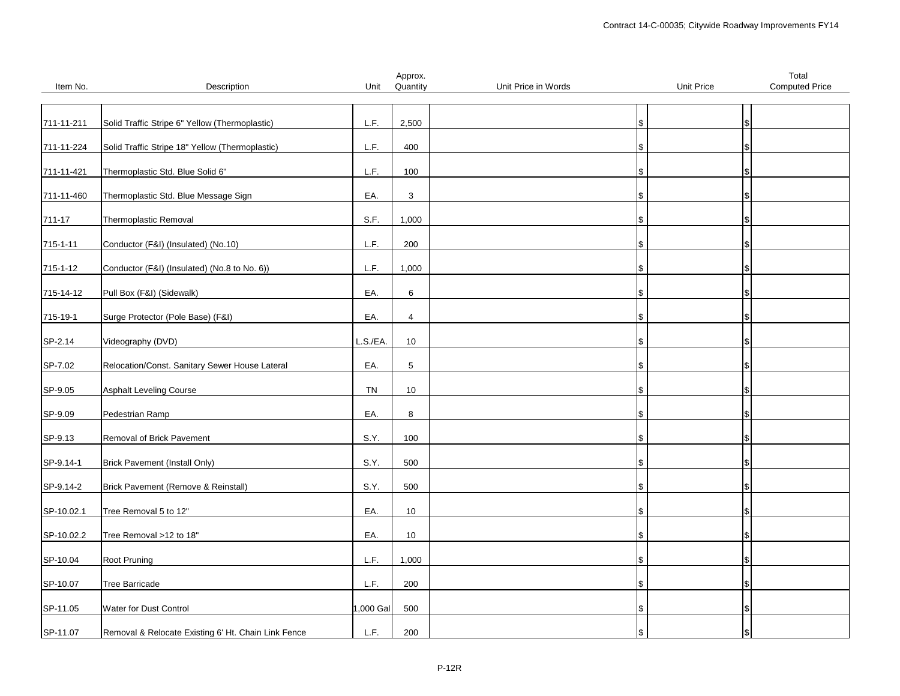|            |                                                     |          | Approx.         |                     |                   | Total                 |
|------------|-----------------------------------------------------|----------|-----------------|---------------------|-------------------|-----------------------|
| Item No.   | Description                                         | Unit     | Quantity        | Unit Price in Words | <b>Unit Price</b> | <b>Computed Price</b> |
|            |                                                     |          |                 |                     |                   |                       |
|            |                                                     |          |                 |                     |                   |                       |
| 711-11-211 | Solid Traffic Stripe 6" Yellow (Thermoplastic)      | L.F.     | 2,500           |                     | \$                |                       |
| 711-11-224 | Solid Traffic Stripe 18" Yellow (Thermoplastic)     | L.F.     | 400             |                     |                   |                       |
|            |                                                     |          |                 |                     |                   |                       |
| 711-11-421 | Thermoplastic Std. Blue Solid 6"                    | L.F.     | 100             |                     | \$                |                       |
|            |                                                     |          |                 |                     |                   |                       |
| 711-11-460 | Thermoplastic Std. Blue Message Sign                | EA.      | $\mathbf{3}$    |                     |                   |                       |
|            |                                                     |          |                 |                     |                   |                       |
| 711-17     | Thermoplastic Removal                               | S.F.     | 1,000           |                     |                   |                       |
|            |                                                     |          |                 |                     |                   |                       |
| 715-1-11   | Conductor (F&I) (Insulated) (No.10)                 | L.F.     | 200             |                     | ۱\$               |                       |
|            |                                                     |          |                 |                     |                   |                       |
| 715-1-12   | Conductor (F&I) (Insulated) (No.8 to No. 6))        | L.F.     | 1,000           |                     |                   |                       |
|            |                                                     |          |                 |                     |                   |                       |
| 715-14-12  | Pull Box (F&I) (Sidewalk)                           | EA.      | 6               |                     | l S               |                       |
|            |                                                     |          |                 |                     |                   |                       |
| 715-19-1   | Surge Protector (Pole Base) (F&I)                   | EA.      | $\overline{4}$  |                     |                   |                       |
|            |                                                     |          |                 |                     |                   |                       |
| SP-2.14    | Videography (DVD)                                   | L.S./EA. | 10              |                     |                   |                       |
|            |                                                     |          |                 |                     |                   |                       |
| SP-7.02    | Relocation/Const. Sanitary Sewer House Lateral      | EA.      | $5\phantom{.0}$ |                     | S.                |                       |
|            |                                                     |          |                 |                     |                   |                       |
| SP-9.05    | <b>Asphalt Leveling Course</b>                      | TN       | 10              |                     |                   |                       |
|            |                                                     |          |                 |                     |                   |                       |
| SP-9.09    | Pedestrian Ramp                                     | EA.      | 8               |                     | \$                |                       |
| SP-9.13    | Removal of Brick Pavement                           | S.Y.     | 100             |                     |                   |                       |
|            |                                                     |          |                 |                     |                   |                       |
| SP-9.14-1  | <b>Brick Pavement (Install Only)</b>                | S.Y.     | 500             |                     |                   |                       |
|            |                                                     |          |                 |                     |                   |                       |
| SP-9.14-2  | Brick Pavement (Remove & Reinstall)                 | S.Y.     | 500             |                     | S.                |                       |
|            |                                                     |          |                 |                     |                   |                       |
| SP-10.02.1 | Tree Removal 5 to 12"                               | EA.      | 10              |                     |                   |                       |
|            |                                                     |          |                 |                     |                   |                       |
| SP-10.02.2 | Tree Removal >12 to 18"                             | EA.      | 10              |                     | l\$               |                       |
|            |                                                     |          |                 |                     |                   |                       |
| SP-10.04   | Root Pruning                                        | L.F.     | 1,000           |                     |                   |                       |
|            |                                                     |          |                 |                     |                   |                       |
| SP-10.07   | <b>Tree Barricade</b>                               | L.F.     | 200             |                     | l\$               |                       |
|            |                                                     |          |                 |                     |                   |                       |
| SP-11.05   | Water for Dust Control                              | ,000 Gal | 500             |                     | \$                |                       |
|            |                                                     |          |                 |                     |                   |                       |
| SP-11.07   | Removal & Relocate Existing 6' Ht. Chain Link Fence | L.F.     | 200             |                     | S.                |                       |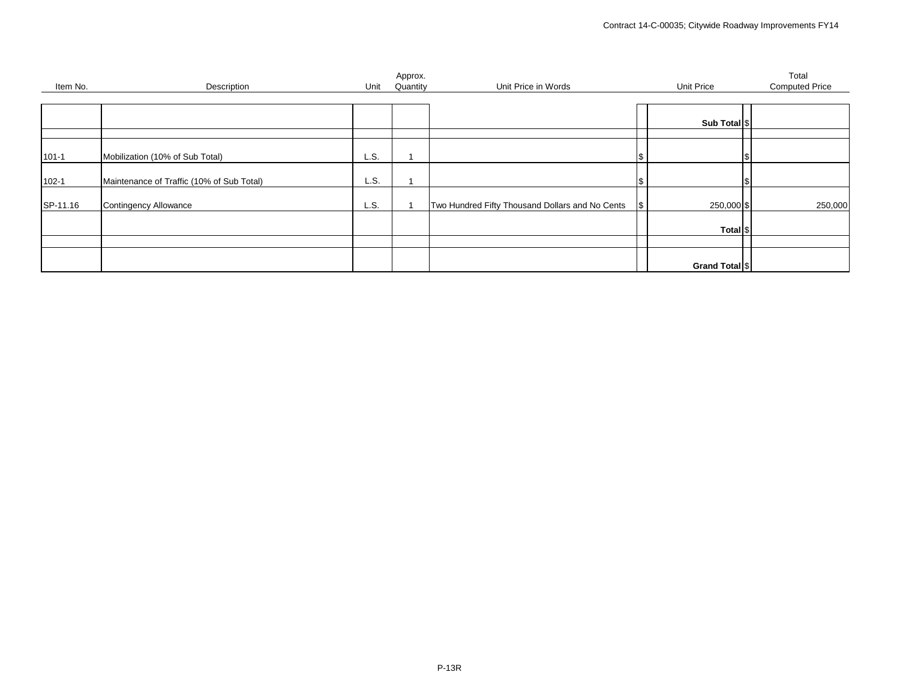|           |                                           |      | Approx.  |                                                 |    |                     | Total                 |
|-----------|-------------------------------------------|------|----------|-------------------------------------------------|----|---------------------|-----------------------|
| Item No.  | Description                               | Unit | Quantity | Unit Price in Words                             |    | Unit Price          | <b>Computed Price</b> |
|           |                                           |      |          |                                                 |    |                     |                       |
|           |                                           |      |          |                                                 |    |                     |                       |
|           |                                           |      |          |                                                 |    | Sub Total   \$      |                       |
|           |                                           |      |          |                                                 |    |                     |                       |
|           |                                           |      |          |                                                 |    |                     |                       |
| $101 - 1$ | Mobilization (10% of Sub Total)           | L.S. |          |                                                 |    |                     |                       |
|           |                                           |      |          |                                                 |    |                     |                       |
| $102 - 1$ | Maintenance of Traffic (10% of Sub Total) | L.S. |          |                                                 | S  |                     |                       |
|           |                                           |      |          |                                                 |    |                     |                       |
| SP-11.16  | <b>Contingency Allowance</b>              | L.S. |          | Two Hundred Fifty Thousand Dollars and No Cents | \$ | 250,000 \$          | 250,000               |
|           |                                           |      |          |                                                 |    |                     |                       |
|           |                                           |      |          |                                                 |    | Total <sup>\$</sup> |                       |
|           |                                           |      |          |                                                 |    |                     |                       |
|           |                                           |      |          |                                                 |    |                     |                       |
|           |                                           |      |          |                                                 |    |                     |                       |
|           |                                           |      |          |                                                 |    | Grand Total \$      |                       |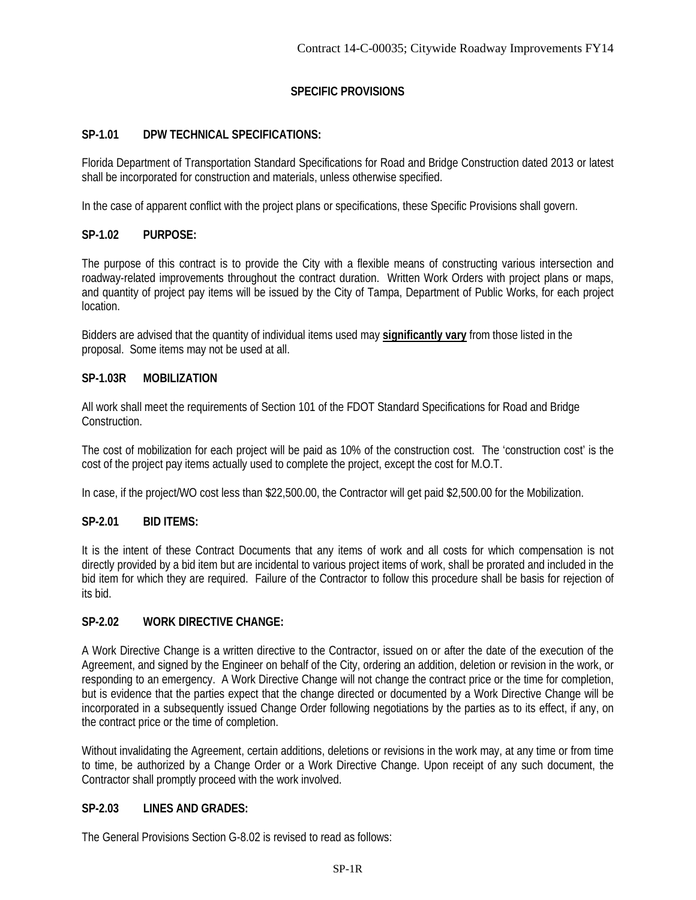# **SPECIFIC PROVISIONS**

# **SP-1.01 DPW TECHNICAL SPECIFICATIONS:**

Florida Department of Transportation Standard Specifications for Road and Bridge Construction dated 2013 or latest shall be incorporated for construction and materials, unless otherwise specified.

In the case of apparent conflict with the project plans or specifications, these Specific Provisions shall govern.

# **SP-1.02 PURPOSE:**

The purpose of this contract is to provide the City with a flexible means of constructing various intersection and roadway-related improvements throughout the contract duration. Written Work Orders with project plans or maps, and quantity of project pay items will be issued by the City of Tampa, Department of Public Works, for each project location.

Bidders are advised that the quantity of individual items used may **significantly vary** from those listed in the proposal. Some items may not be used at all.

# **SP-1.03R MOBILIZATION**

All work shall meet the requirements of Section 101 of the FDOT Standard Specifications for Road and Bridge Construction.

The cost of mobilization for each project will be paid as 10% of the construction cost. The 'construction cost' is the cost of the project pay items actually used to complete the project, except the cost for M.O.T.

In case, if the project/WO cost less than \$22,500.00, the Contractor will get paid \$2,500.00 for the Mobilization.

# **SP-2.01 BID ITEMS:**

It is the intent of these Contract Documents that any items of work and all costs for which compensation is not directly provided by a bid item but are incidental to various project items of work, shall be prorated and included in the bid item for which they are required. Failure of the Contractor to follow this procedure shall be basis for rejection of its bid.

# **SP-2.02 WORK DIRECTIVE CHANGE:**

A Work Directive Change is a written directive to the Contractor, issued on or after the date of the execution of the Agreement, and signed by the Engineer on behalf of the City, ordering an addition, deletion or revision in the work, or responding to an emergency. A Work Directive Change will not change the contract price or the time for completion, but is evidence that the parties expect that the change directed or documented by a Work Directive Change will be incorporated in a subsequently issued Change Order following negotiations by the parties as to its effect, if any, on the contract price or the time of completion.

Without invalidating the Agreement, certain additions, deletions or revisions in the work may, at any time or from time to time, be authorized by a Change Order or a Work Directive Change. Upon receipt of any such document, the Contractor shall promptly proceed with the work involved.

# **SP-2.03 LINES AND GRADES:**

The General Provisions Section G-8.02 is revised to read as follows: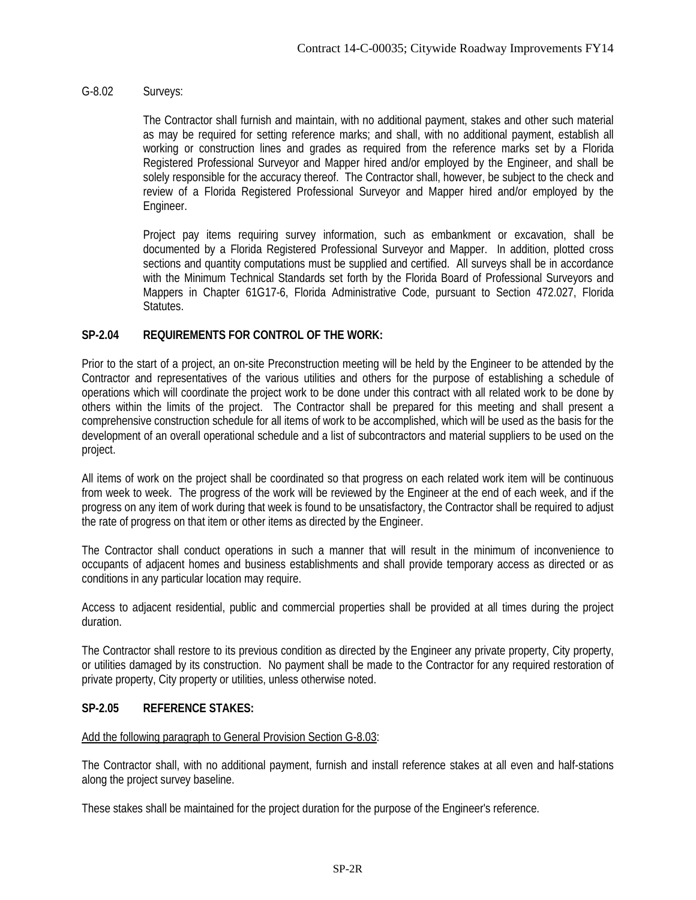## G-8.02 Surveys:

The Contractor shall furnish and maintain, with no additional payment, stakes and other such material as may be required for setting reference marks; and shall, with no additional payment, establish all working or construction lines and grades as required from the reference marks set by a Florida Registered Professional Surveyor and Mapper hired and/or employed by the Engineer, and shall be solely responsible for the accuracy thereof. The Contractor shall, however, be subject to the check and review of a Florida Registered Professional Surveyor and Mapper hired and/or employed by the Engineer.

Project pay items requiring survey information, such as embankment or excavation, shall be documented by a Florida Registered Professional Surveyor and Mapper. In addition, plotted cross sections and quantity computations must be supplied and certified. All surveys shall be in accordance with the Minimum Technical Standards set forth by the Florida Board of Professional Surveyors and Mappers in Chapter 61G17-6, Florida Administrative Code, pursuant to Section 472.027, Florida Statutes.

## **SP-2.04 REQUIREMENTS FOR CONTROL OF THE WORK:**

Prior to the start of a project, an on-site Preconstruction meeting will be held by the Engineer to be attended by the Contractor and representatives of the various utilities and others for the purpose of establishing a schedule of operations which will coordinate the project work to be done under this contract with all related work to be done by others within the limits of the project. The Contractor shall be prepared for this meeting and shall present a comprehensive construction schedule for all items of work to be accomplished, which will be used as the basis for the development of an overall operational schedule and a list of subcontractors and material suppliers to be used on the project.

All items of work on the project shall be coordinated so that progress on each related work item will be continuous from week to week. The progress of the work will be reviewed by the Engineer at the end of each week, and if the progress on any item of work during that week is found to be unsatisfactory, the Contractor shall be required to adjust the rate of progress on that item or other items as directed by the Engineer.

The Contractor shall conduct operations in such a manner that will result in the minimum of inconvenience to occupants of adjacent homes and business establishments and shall provide temporary access as directed or as conditions in any particular location may require.

Access to adjacent residential, public and commercial properties shall be provided at all times during the project duration.

The Contractor shall restore to its previous condition as directed by the Engineer any private property, City property, or utilities damaged by its construction. No payment shall be made to the Contractor for any required restoration of private property, City property or utilities, unless otherwise noted.

## **SP-2.05 REFERENCE STAKES:**

## Add the following paragraph to General Provision Section G-8.03:

The Contractor shall, with no additional payment, furnish and install reference stakes at all even and half-stations along the project survey baseline.

These stakes shall be maintained for the project duration for the purpose of the Engineer's reference.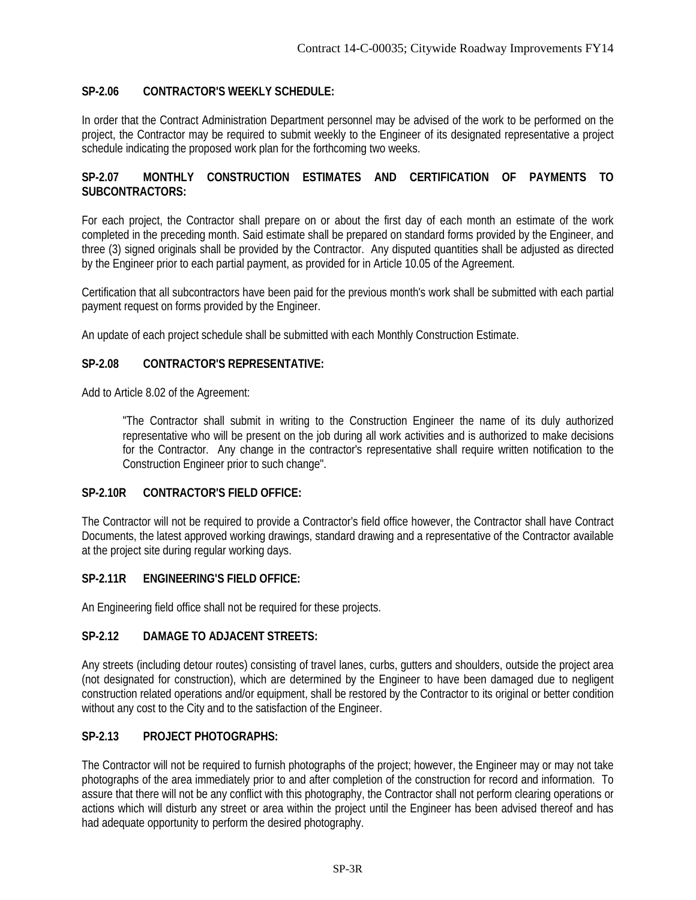# **SP-2.06 CONTRACTOR'S WEEKLY SCHEDULE:**

In order that the Contract Administration Department personnel may be advised of the work to be performed on the project, the Contractor may be required to submit weekly to the Engineer of its designated representative a project schedule indicating the proposed work plan for the forthcoming two weeks.

## **SP-2.07 MONTHLY CONSTRUCTION ESTIMATES AND CERTIFICATION OF PAYMENTS TO SUBCONTRACTORS:**

For each project, the Contractor shall prepare on or about the first day of each month an estimate of the work completed in the preceding month. Said estimate shall be prepared on standard forms provided by the Engineer, and three (3) signed originals shall be provided by the Contractor. Any disputed quantities shall be adjusted as directed by the Engineer prior to each partial payment, as provided for in Article 10.05 of the Agreement.

Certification that all subcontractors have been paid for the previous month's work shall be submitted with each partial payment request on forms provided by the Engineer.

An update of each project schedule shall be submitted with each Monthly Construction Estimate.

## **SP-2.08 CONTRACTOR'S REPRESENTATIVE:**

Add to Article 8.02 of the Agreement:

"The Contractor shall submit in writing to the Construction Engineer the name of its duly authorized representative who will be present on the job during all work activities and is authorized to make decisions for the Contractor. Any change in the contractor's representative shall require written notification to the Construction Engineer prior to such change".

## **SP-2.10R CONTRACTOR'S FIELD OFFICE:**

The Contractor will not be required to provide a Contractor's field office however, the Contractor shall have Contract Documents, the latest approved working drawings, standard drawing and a representative of the Contractor available at the project site during regular working days.

## **SP-2.11R ENGINEERING'S FIELD OFFICE:**

An Engineering field office shall not be required for these projects.

## **SP-2.12 DAMAGE TO ADJACENT STREETS:**

Any streets (including detour routes) consisting of travel lanes, curbs, gutters and shoulders, outside the project area (not designated for construction), which are determined by the Engineer to have been damaged due to negligent construction related operations and/or equipment, shall be restored by the Contractor to its original or better condition without any cost to the City and to the satisfaction of the Engineer.

## **SP-2.13 PROJECT PHOTOGRAPHS:**

The Contractor will not be required to furnish photographs of the project; however, the Engineer may or may not take photographs of the area immediately prior to and after completion of the construction for record and information. To assure that there will not be any conflict with this photography, the Contractor shall not perform clearing operations or actions which will disturb any street or area within the project until the Engineer has been advised thereof and has had adequate opportunity to perform the desired photography.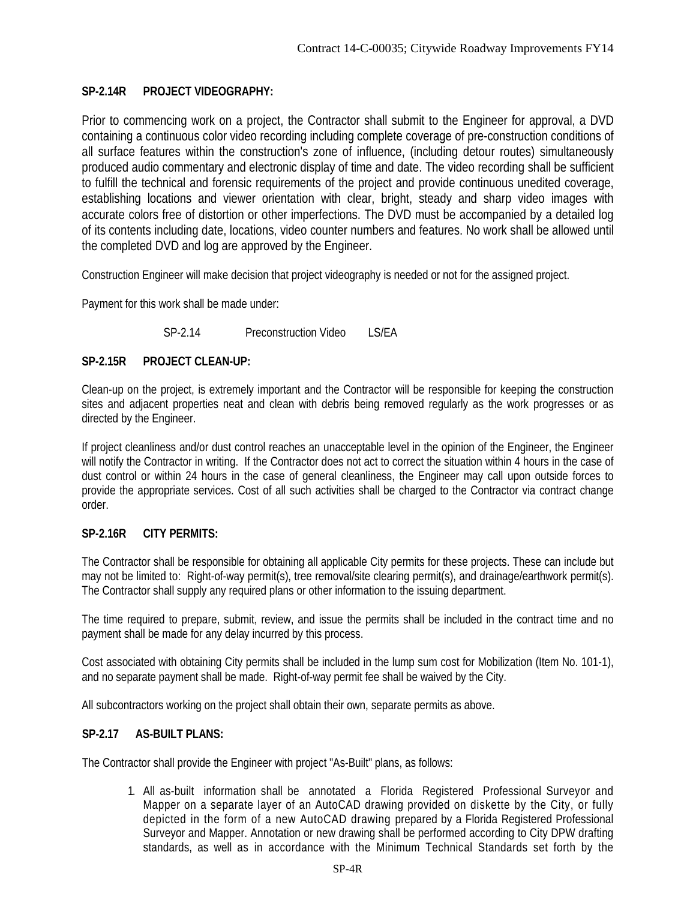# **SP-2.14R PROJECT VIDEOGRAPHY:**

Prior to commencing work on a project, the Contractor shall submit to the Engineer for approval, a DVD containing a continuous color video recording including complete coverage of pre-construction conditions of all surface features within the construction's zone of influence, (including detour routes) simultaneously produced audio commentary and electronic display of time and date. The video recording shall be sufficient to fulfill the technical and forensic requirements of the project and provide continuous unedited coverage, establishing locations and viewer orientation with clear, bright, steady and sharp video images with accurate colors free of distortion or other imperfections. The DVD must be accompanied by a detailed log of its contents including date, locations, video counter numbers and features. No work shall be allowed until the completed DVD and log are approved by the Engineer.

Construction Engineer will make decision that project videography is needed or not for the assigned project.

Payment for this work shall be made under:

SP-2.14 Preconstruction Video LS/EA

# **SP-2.15R PROJECT CLEAN-UP:**

Clean-up on the project, is extremely important and the Contractor will be responsible for keeping the construction sites and adjacent properties neat and clean with debris being removed regularly as the work progresses or as directed by the Engineer.

If project cleanliness and/or dust control reaches an unacceptable level in the opinion of the Engineer, the Engineer will notify the Contractor in writing. If the Contractor does not act to correct the situation within 4 hours in the case of dust control or within 24 hours in the case of general cleanliness, the Engineer may call upon outside forces to provide the appropriate services. Cost of all such activities shall be charged to the Contractor via contract change order.

# **SP-2.16R CITY PERMITS:**

The Contractor shall be responsible for obtaining all applicable City permits for these projects. These can include but may not be limited to: Right-of-way permit(s), tree removal/site clearing permit(s), and drainage/earthwork permit(s). The Contractor shall supply any required plans or other information to the issuing department.

The time required to prepare, submit, review, and issue the permits shall be included in the contract time and no payment shall be made for any delay incurred by this process.

Cost associated with obtaining City permits shall be included in the lump sum cost for Mobilization (Item No. 101-1), and no separate payment shall be made. Right-of-way permit fee shall be waived by the City.

All subcontractors working on the project shall obtain their own, separate permits as above.

# **SP-2.17 AS-BUILT PLANS:**

The Contractor shall provide the Engineer with project "As-Built" plans, as follows:

1. All as-built information shall be annotated a Florida Registered Professional Surveyor and Mapper on a separate layer of an AutoCAD drawing provided on diskette by the City, or fully depicted in the form of a new AutoCAD drawing prepared by a Florida Registered Professional Surveyor and Mapper. Annotation or new drawing shall be performed according to City DPW drafting standards, as well as in accordance with the Minimum Technical Standards set forth by the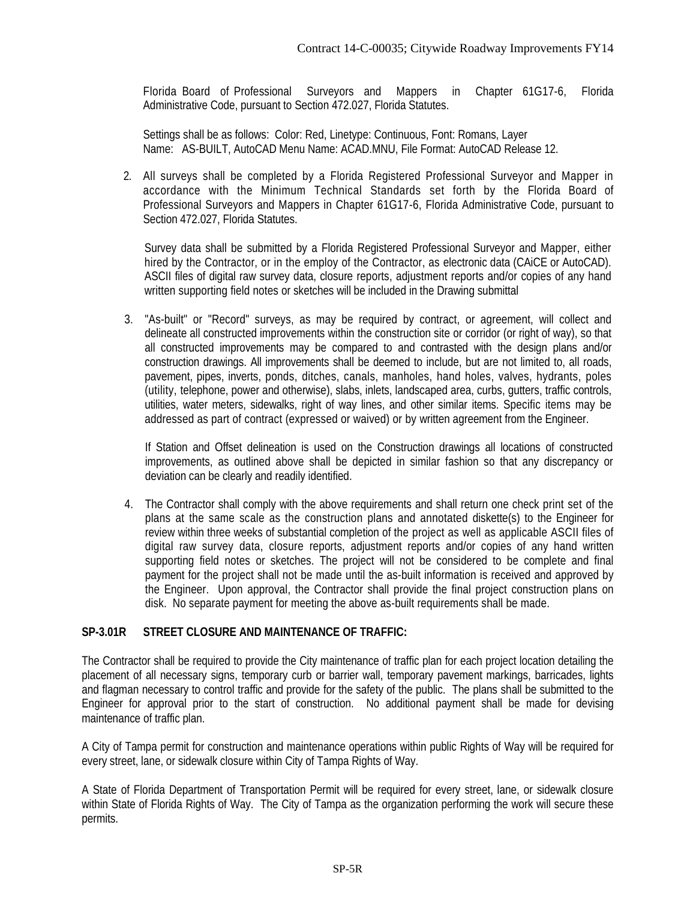Florida Board of Professional Surveyors and Mappers in Chapter 61G17-6, Florida Administrative Code, pursuant to Section 472.027, Florida Statutes.

Settings shall be as follows: Color: Red, Linetype: Continuous, Font: Romans, Layer Name: AS-BUILT, AutoCAD Menu Name: ACAD.MNU, File Format: AutoCAD Release 12.

2. All surveys shall be completed by a Florida Registered Professional Surveyor and Mapper in accordance with the Minimum Technical Standards set forth by the Florida Board of Professional Surveyors and Mappers in Chapter 61G17-6, Florida Administrative Code, pursuant to Section 472.027, Florida Statutes.

Survey data shall be submitted by a Florida Registered Professional Surveyor and Mapper, either hired by the Contractor, or in the employ of the Contractor, as electronic data (CAiCE or AutoCAD). ASCII files of digital raw survey data, closure reports, adjustment reports and/or copies of any hand written supporting field notes or sketches will be included in the Drawing submittal

3. "As-built" or "Record" surveys, as may be required by contract, or agreement, will collect and delineate all constructed improvements within the construction site or corridor (or right of way), so that all constructed improvements may be compared to and contrasted with the design plans and/or construction drawings. All improvements shall be deemed to include, but are not limited to, all roads, pavement, pipes, inverts, ponds, ditches, canals, manholes, hand holes, valves, hydrants, poles (utility, telephone, power and otherwise), slabs, inlets, landscaped area, curbs, gutters, traffic controls, utilities, water meters, sidewalks, right of way lines, and other similar items. Specific items may be addressed as part of contract (expressed or waived) or by written agreement from the Engineer.

If Station and Offset delineation is used on the Construction drawings all locations of constructed improvements, as outlined above shall be depicted in similar fashion so that any discrepancy or deviation can be clearly and readily identified.

4. The Contractor shall comply with the above requirements and shall return one check print set of the plans at the same scale as the construction plans and annotated diskette(s) to the Engineer for review within three weeks of substantial completion of the project as well as applicable ASCII files of digital raw survey data, closure reports, adjustment reports and/or copies of any hand written supporting field notes or sketches. The project will not be considered to be complete and final payment for the project shall not be made until the as-built information is received and approved by the Engineer. Upon approval, the Contractor shall provide the final project construction plans on disk. No separate payment for meeting the above as-built requirements shall be made.

# **SP-3.01R STREET CLOSURE AND MAINTENANCE OF TRAFFIC:**

The Contractor shall be required to provide the City maintenance of traffic plan for each project location detailing the placement of all necessary signs, temporary curb or barrier wall, temporary pavement markings, barricades, lights and flagman necessary to control traffic and provide for the safety of the public. The plans shall be submitted to the Engineer for approval prior to the start of construction. No additional payment shall be made for devising maintenance of traffic plan.

A City of Tampa permit for construction and maintenance operations within public Rights of Way will be required for every street, lane, or sidewalk closure within City of Tampa Rights of Way.

A State of Florida Department of Transportation Permit will be required for every street, lane, or sidewalk closure within State of Florida Rights of Way. The City of Tampa as the organization performing the work will secure these permits.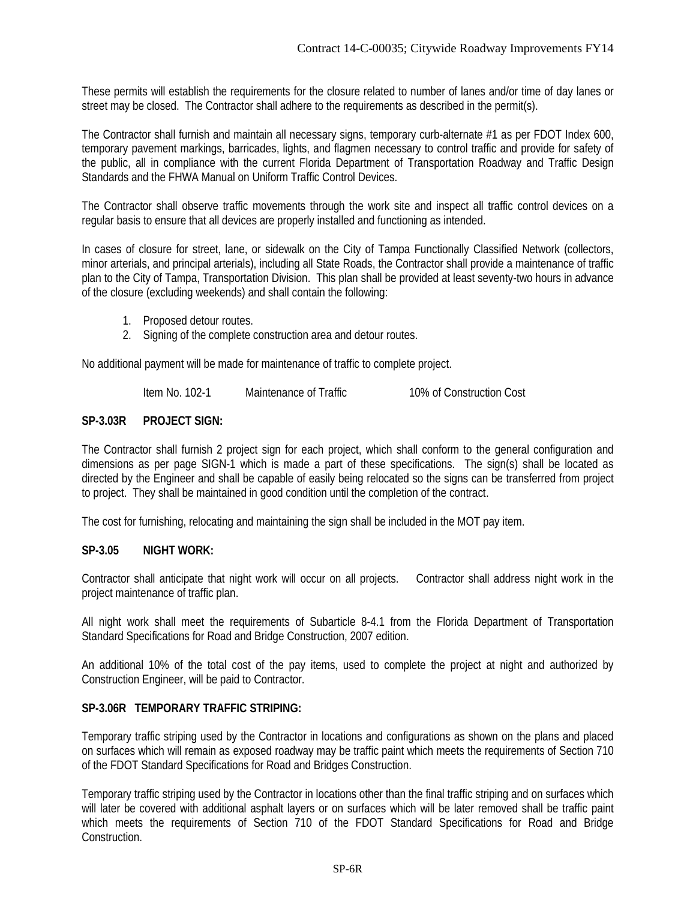These permits will establish the requirements for the closure related to number of lanes and/or time of day lanes or street may be closed. The Contractor shall adhere to the requirements as described in the permit(s).

The Contractor shall furnish and maintain all necessary signs, temporary curb-alternate #1 as per FDOT Index 600, temporary pavement markings, barricades, lights, and flagmen necessary to control traffic and provide for safety of the public, all in compliance with the current Florida Department of Transportation Roadway and Traffic Design Standards and the FHWA Manual on Uniform Traffic Control Devices.

The Contractor shall observe traffic movements through the work site and inspect all traffic control devices on a regular basis to ensure that all devices are properly installed and functioning as intended.

In cases of closure for street, lane, or sidewalk on the City of Tampa Functionally Classified Network (collectors, minor arterials, and principal arterials), including all State Roads, the Contractor shall provide a maintenance of traffic plan to the City of Tampa, Transportation Division. This plan shall be provided at least seventy-two hours in advance of the closure (excluding weekends) and shall contain the following:

- 1. Proposed detour routes.
- 2. Signing of the complete construction area and detour routes.

No additional payment will be made for maintenance of traffic to complete project.

Item No. 102-1 Maintenance of Traffic 10% of Construction Cost

#### **SP-3.03R PROJECT SIGN:**

The Contractor shall furnish 2 project sign for each project, which shall conform to the general configuration and dimensions as per page SIGN-1 which is made a part of these specifications. The sign(s) shall be located as directed by the Engineer and shall be capable of easily being relocated so the signs can be transferred from project to project. They shall be maintained in good condition until the completion of the contract.

The cost for furnishing, relocating and maintaining the sign shall be included in the MOT pay item.

## **SP-3.05 NIGHT WORK:**

Contractor shall anticipate that night work will occur on all projects. Contractor shall address night work in the project maintenance of traffic plan.

All night work shall meet the requirements of Subarticle 8-4.1 from the Florida Department of Transportation Standard Specifications for Road and Bridge Construction, 2007 edition.

An additional 10% of the total cost of the pay items, used to complete the project at night and authorized by Construction Engineer, will be paid to Contractor.

#### **SP-3.06R TEMPORARY TRAFFIC STRIPING:**

Temporary traffic striping used by the Contractor in locations and configurations as shown on the plans and placed on surfaces which will remain as exposed roadway may be traffic paint which meets the requirements of Section 710 of the FDOT Standard Specifications for Road and Bridges Construction.

Temporary traffic striping used by the Contractor in locations other than the final traffic striping and on surfaces which will later be covered with additional asphalt layers or on surfaces which will be later removed shall be traffic paint which meets the requirements of Section 710 of the FDOT Standard Specifications for Road and Bridge Construction.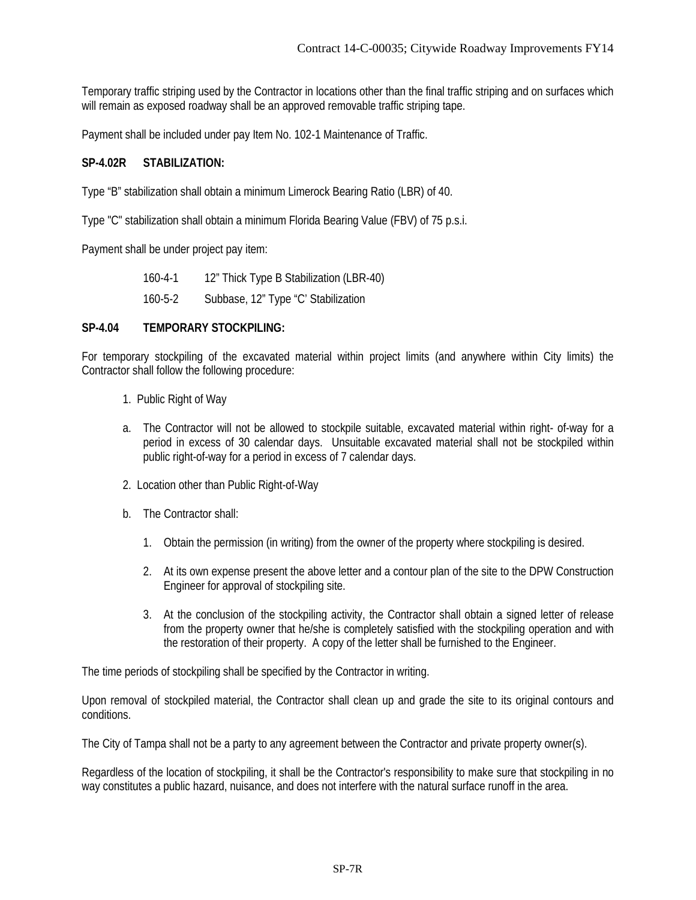Temporary traffic striping used by the Contractor in locations other than the final traffic striping and on surfaces which will remain as exposed roadway shall be an approved removable traffic striping tape.

Payment shall be included under pay Item No. 102-1 Maintenance of Traffic.

## **SP-4.02R STABILIZATION:**

Type "B" stabilization shall obtain a minimum Limerock Bearing Ratio (LBR) of 40.

Type "C" stabilization shall obtain a minimum Florida Bearing Value (FBV) of 75 p.s.i.

Payment shall be under project pay item:

160-4-1 12" Thick Type B Stabilization (LBR-40) 160-5-2 Subbase, 12" Type "C' Stabilization

## **SP-4.04 TEMPORARY STOCKPILING:**

For temporary stockpiling of the excavated material within project limits (and anywhere within City limits) the Contractor shall follow the following procedure:

- 1. Public Right of Way
- a. The Contractor will not be allowed to stockpile suitable, excavated material within right- of-way for a period in excess of 30 calendar days. Unsuitable excavated material shall not be stockpiled within public right-of-way for a period in excess of 7 calendar days.
- 2. Location other than Public Right-of-Way
- b. The Contractor shall:
	- 1. Obtain the permission (in writing) from the owner of the property where stockpiling is desired.
	- 2. At its own expense present the above letter and a contour plan of the site to the DPW Construction Engineer for approval of stockpiling site.
	- 3. At the conclusion of the stockpiling activity, the Contractor shall obtain a signed letter of release from the property owner that he/she is completely satisfied with the stockpiling operation and with the restoration of their property. A copy of the letter shall be furnished to the Engineer.

The time periods of stockpiling shall be specified by the Contractor in writing.

Upon removal of stockpiled material, the Contractor shall clean up and grade the site to its original contours and conditions.

The City of Tampa shall not be a party to any agreement between the Contractor and private property owner(s).

Regardless of the location of stockpiling, it shall be the Contractor's responsibility to make sure that stockpiling in no way constitutes a public hazard, nuisance, and does not interfere with the natural surface runoff in the area.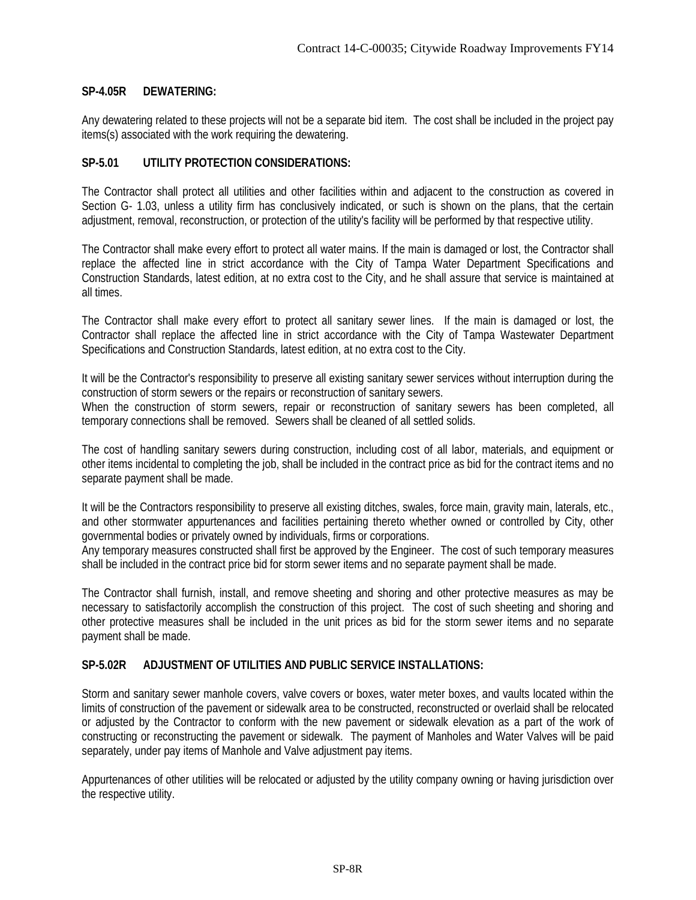## **SP-4.05R DEWATERING:**

Any dewatering related to these projects will not be a separate bid item. The cost shall be included in the project pay items(s) associated with the work requiring the dewatering.

## **SP-5.01 UTILITY PROTECTION CONSIDERATIONS:**

The Contractor shall protect all utilities and other facilities within and adjacent to the construction as covered in Section G- 1.03, unless a utility firm has conclusively indicated, or such is shown on the plans, that the certain adjustment, removal, reconstruction, or protection of the utility's facility will be performed by that respective utility.

The Contractor shall make every effort to protect all water mains. If the main is damaged or lost, the Contractor shall replace the affected line in strict accordance with the City of Tampa Water Department Specifications and Construction Standards, latest edition, at no extra cost to the City, and he shall assure that service is maintained at all times.

The Contractor shall make every effort to protect all sanitary sewer lines. If the main is damaged or lost, the Contractor shall replace the affected line in strict accordance with the City of Tampa Wastewater Department Specifications and Construction Standards, latest edition, at no extra cost to the City.

It will be the Contractor's responsibility to preserve all existing sanitary sewer services without interruption during the construction of storm sewers or the repairs or reconstruction of sanitary sewers.

When the construction of storm sewers, repair or reconstruction of sanitary sewers has been completed, all temporary connections shall be removed. Sewers shall be cleaned of all settled solids.

The cost of handling sanitary sewers during construction, including cost of all labor, materials, and equipment or other items incidental to completing the job, shall be included in the contract price as bid for the contract items and no separate payment shall be made.

It will be the Contractors responsibility to preserve all existing ditches, swales, force main, gravity main, laterals, etc., and other stormwater appurtenances and facilities pertaining thereto whether owned or controlled by City, other governmental bodies or privately owned by individuals, firms or corporations.

Any temporary measures constructed shall first be approved by the Engineer. The cost of such temporary measures shall be included in the contract price bid for storm sewer items and no separate payment shall be made.

The Contractor shall furnish, install, and remove sheeting and shoring and other protective measures as may be necessary to satisfactorily accomplish the construction of this project. The cost of such sheeting and shoring and other protective measures shall be included in the unit prices as bid for the storm sewer items and no separate payment shall be made.

## **SP-5.02R ADJUSTMENT OF UTILITIES AND PUBLIC SERVICE INSTALLATIONS:**

Storm and sanitary sewer manhole covers, valve covers or boxes, water meter boxes, and vaults located within the limits of construction of the pavement or sidewalk area to be constructed, reconstructed or overlaid shall be relocated or adjusted by the Contractor to conform with the new pavement or sidewalk elevation as a part of the work of constructing or reconstructing the pavement or sidewalk. The payment of Manholes and Water Valves will be paid separately, under pay items of Manhole and Valve adjustment pay items.

Appurtenances of other utilities will be relocated or adjusted by the utility company owning or having jurisdiction over the respective utility.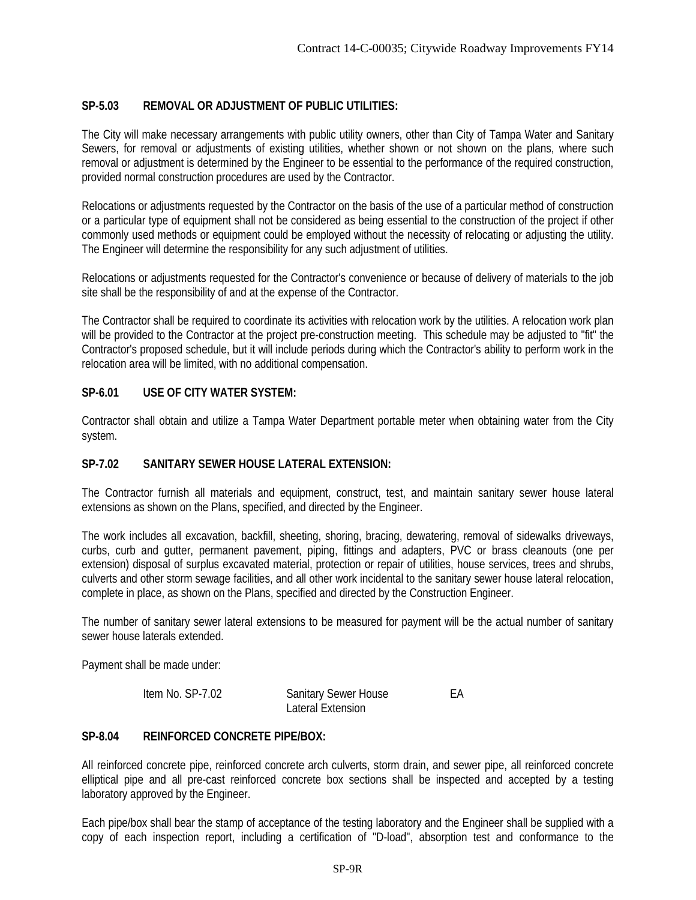# **SP-5.03 REMOVAL OR ADJUSTMENT OF PUBLIC UTILITIES:**

The City will make necessary arrangements with public utility owners, other than City of Tampa Water and Sanitary Sewers, for removal or adjustments of existing utilities, whether shown or not shown on the plans, where such removal or adjustment is determined by the Engineer to be essential to the performance of the required construction, provided normal construction procedures are used by the Contractor.

Relocations or adjustments requested by the Contractor on the basis of the use of a particular method of construction or a particular type of equipment shall not be considered as being essential to the construction of the project if other commonly used methods or equipment could be employed without the necessity of relocating or adjusting the utility. The Engineer will determine the responsibility for any such adjustment of utilities.

Relocations or adjustments requested for the Contractor's convenience or because of delivery of materials to the job site shall be the responsibility of and at the expense of the Contractor.

The Contractor shall be required to coordinate its activities with relocation work by the utilities. A relocation work plan will be provided to the Contractor at the project pre-construction meeting. This schedule may be adjusted to "fit" the Contractor's proposed schedule, but it will include periods during which the Contractor's ability to perform work in the relocation area will be limited, with no additional compensation.

## **SP-6.01 USE OF CITY WATER SYSTEM:**

Contractor shall obtain and utilize a Tampa Water Department portable meter when obtaining water from the City system.

## **SP-7.02 SANITARY SEWER HOUSE LATERAL EXTENSION:**

The Contractor furnish all materials and equipment, construct, test, and maintain sanitary sewer house lateral extensions as shown on the Plans, specified, and directed by the Engineer.

The work includes all excavation, backfill, sheeting, shoring, bracing, dewatering, removal of sidewalks driveways, curbs, curb and gutter, permanent pavement, piping, fittings and adapters, PVC or brass cleanouts (one per extension) disposal of surplus excavated material, protection or repair of utilities, house services, trees and shrubs, culverts and other storm sewage facilities, and all other work incidental to the sanitary sewer house lateral relocation, complete in place, as shown on the Plans, specified and directed by the Construction Engineer.

The number of sanitary sewer lateral extensions to be measured for payment will be the actual number of sanitary sewer house laterals extended.

Payment shall be made under:

| Item No. SP-7.02 | <b>Sanitary Sewer House</b> | FА |
|------------------|-----------------------------|----|
|                  | Lateral Extension           |    |

## **SP-8.04 REINFORCED CONCRETE PIPE/BOX:**

All reinforced concrete pipe, reinforced concrete arch culverts, storm drain, and sewer pipe, all reinforced concrete elliptical pipe and all pre-cast reinforced concrete box sections shall be inspected and accepted by a testing laboratory approved by the Engineer.

Each pipe/box shall bear the stamp of acceptance of the testing laboratory and the Engineer shall be supplied with a copy of each inspection report, including a certification of "D-load", absorption test and conformance to the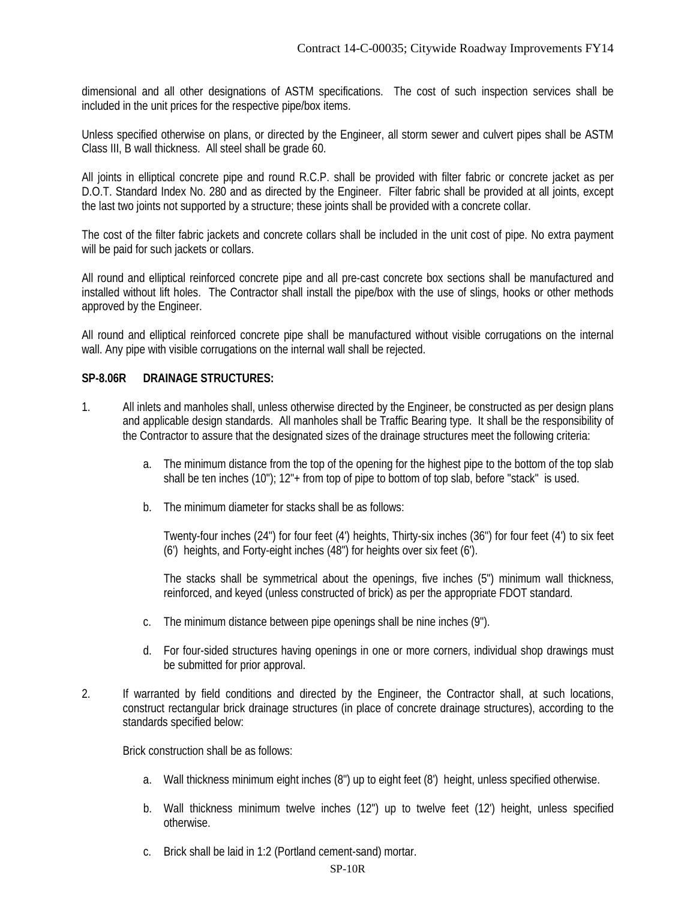dimensional and all other designations of ASTM specifications. The cost of such inspection services shall be included in the unit prices for the respective pipe/box items.

Unless specified otherwise on plans, or directed by the Engineer, all storm sewer and culvert pipes shall be ASTM Class III, B wall thickness. All steel shall be grade 60.

All joints in elliptical concrete pipe and round R.C.P. shall be provided with filter fabric or concrete jacket as per D.O.T. Standard Index No. 280 and as directed by the Engineer. Filter fabric shall be provided at all joints, except the last two joints not supported by a structure; these joints shall be provided with a concrete collar.

The cost of the filter fabric jackets and concrete collars shall be included in the unit cost of pipe. No extra payment will be paid for such jackets or collars.

All round and elliptical reinforced concrete pipe and all pre-cast concrete box sections shall be manufactured and installed without lift holes. The Contractor shall install the pipe/box with the use of slings, hooks or other methods approved by the Engineer.

All round and elliptical reinforced concrete pipe shall be manufactured without visible corrugations on the internal wall. Any pipe with visible corrugations on the internal wall shall be rejected.

## **SP-8.06R DRAINAGE STRUCTURES:**

- 1. All inlets and manholes shall, unless otherwise directed by the Engineer, be constructed as per design plans and applicable design standards. All manholes shall be Traffic Bearing type. It shall be the responsibility of the Contractor to assure that the designated sizes of the drainage structures meet the following criteria:
	- a. The minimum distance from the top of the opening for the highest pipe to the bottom of the top slab shall be ten inches (10"); 12"+ from top of pipe to bottom of top slab, before "stack" is used.
	- b. The minimum diameter for stacks shall be as follows:

Twenty-four inches (24") for four feet (4') heights, Thirty-six inches (36") for four feet (4') to six feet (6') heights, and Forty-eight inches (48") for heights over six feet (6').

The stacks shall be symmetrical about the openings, five inches (5") minimum wall thickness, reinforced, and keyed (unless constructed of brick) as per the appropriate FDOT standard.

- c. The minimum distance between pipe openings shall be nine inches (9").
- d. For four-sided structures having openings in one or more corners, individual shop drawings must be submitted for prior approval.
- 2. If warranted by field conditions and directed by the Engineer, the Contractor shall, at such locations, construct rectangular brick drainage structures (in place of concrete drainage structures), according to the standards specified below:

Brick construction shall be as follows:

- a. Wall thickness minimum eight inches (8") up to eight feet (8') height, unless specified otherwise.
- b. Wall thickness minimum twelve inches (12") up to twelve feet (12') height, unless specified otherwise.
- c. Brick shall be laid in 1:2 (Portland cement-sand) mortar.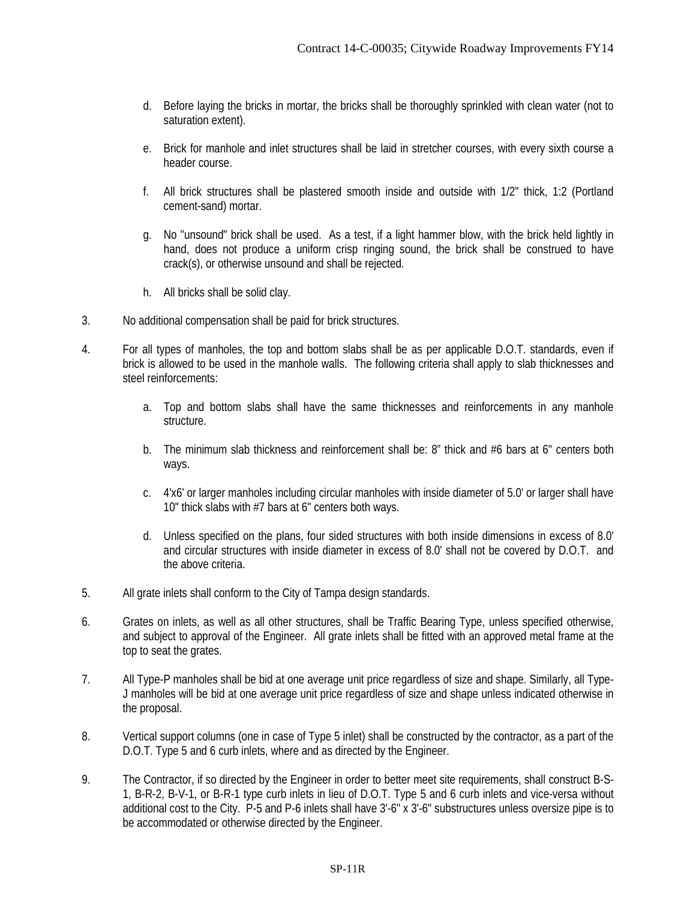- d. Before laying the bricks in mortar, the bricks shall be thoroughly sprinkled with clean water (not to saturation extent).
- e. Brick for manhole and inlet structures shall be laid in stretcher courses, with every sixth course a header course.
- f. All brick structures shall be plastered smooth inside and outside with 1/2" thick, 1:2 (Portland cement-sand) mortar.
- g. No "unsound" brick shall be used. As a test, if a light hammer blow, with the brick held lightly in hand, does not produce a uniform crisp ringing sound, the brick shall be construed to have crack(s), or otherwise unsound and shall be rejected.
- h. All bricks shall be solid clay.
- 3. No additional compensation shall be paid for brick structures.
- 4. For all types of manholes, the top and bottom slabs shall be as per applicable D.O.T. standards, even if brick is allowed to be used in the manhole walls. The following criteria shall apply to slab thicknesses and steel reinforcements:
	- a. Top and bottom slabs shall have the same thicknesses and reinforcements in any manhole structure.
	- b. The minimum slab thickness and reinforcement shall be: 8" thick and #6 bars at 6" centers both ways.
	- c. 4'x6' or larger manholes including circular manholes with inside diameter of 5.0' or larger shall have 10" thick slabs with #7 bars at 6" centers both ways.
	- d. Unless specified on the plans, four sided structures with both inside dimensions in excess of 8.0' and circular structures with inside diameter in excess of 8.0' shall not be covered by D.O.T. and the above criteria.
- 5. All grate inlets shall conform to the City of Tampa design standards.
- 6. Grates on inlets, as well as all other structures, shall be Traffic Bearing Type, unless specified otherwise, and subject to approval of the Engineer. All grate inlets shall be fitted with an approved metal frame at the top to seat the grates.
- 7. All Type-P manholes shall be bid at one average unit price regardless of size and shape. Similarly, all Type-J manholes will be bid at one average unit price regardless of size and shape unless indicated otherwise in the proposal.
- 8. Vertical support columns (one in case of Type 5 inlet) shall be constructed by the contractor, as a part of the D.O.T. Type 5 and 6 curb inlets, where and as directed by the Engineer.
- 9. The Contractor, if so directed by the Engineer in order to better meet site requirements, shall construct B-S-1, B-R-2, B-V-1, or B-R-1 type curb inlets in lieu of D.O.T. Type 5 and 6 curb inlets and vice-versa without additional cost to the City. P-5 and P-6 inlets shall have 3'-6" x 3'-6" substructures unless oversize pipe is to be accommodated or otherwise directed by the Engineer.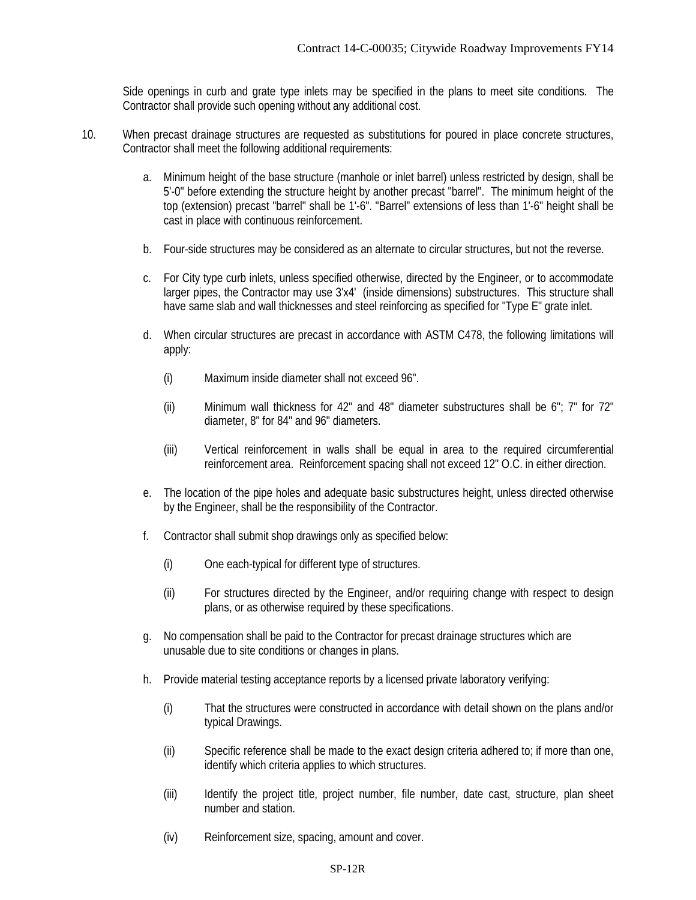Side openings in curb and grate type inlets may be specified in the plans to meet site conditions. The Contractor shall provide such opening without any additional cost.

- 10. When precast drainage structures are requested as substitutions for poured in place concrete structures, Contractor shall meet the following additional requirements:
	- a. Minimum height of the base structure (manhole or inlet barrel) unless restricted by design, shall be 5'-0" before extending the structure height by another precast "barrel". The minimum height of the top (extension) precast "barrel" shall be 1'-6". "Barrel" extensions of less than 1'-6" height shall be cast in place with continuous reinforcement.
	- b. Four-side structures may be considered as an alternate to circular structures, but not the reverse.
	- c. For City type curb inlets, unless specified otherwise, directed by the Engineer, or to accommodate larger pipes, the Contractor may use 3'x4' (inside dimensions) substructures. This structure shall have same slab and wall thicknesses and steel reinforcing as specified for "Type E" grate inlet.
	- d. When circular structures are precast in accordance with ASTM C478, the following limitations will apply:
		- (i) Maximum inside diameter shall not exceed 96".
		- (ii) Minimum wall thickness for 42" and 48" diameter substructures shall be 6"; 7" for 72" diameter, 8" for 84" and 96" diameters.
		- (iii) Vertical reinforcement in walls shall be equal in area to the required circumferential reinforcement area. Reinforcement spacing shall not exceed 12" O.C. in either direction.
	- e. The location of the pipe holes and adequate basic substructures height, unless directed otherwise by the Engineer, shall be the responsibility of the Contractor.
	- f. Contractor shall submit shop drawings only as specified below:
		- (i) One each-typical for different type of structures.
		- (ii) For structures directed by the Engineer, and/or requiring change with respect to design plans, or as otherwise required by these specifications.
	- g. No compensation shall be paid to the Contractor for precast drainage structures which are unusable due to site conditions or changes in plans.
	- h. Provide material testing acceptance reports by a licensed private laboratory verifying:
		- (i) That the structures were constructed in accordance with detail shown on the plans and/or typical Drawings.
		- (ii) Specific reference shall be made to the exact design criteria adhered to; if more than one, identify which criteria applies to which structures.
		- (iii) Identify the project title, project number, file number, date cast, structure, plan sheet number and station.
		- (iv) Reinforcement size, spacing, amount and cover.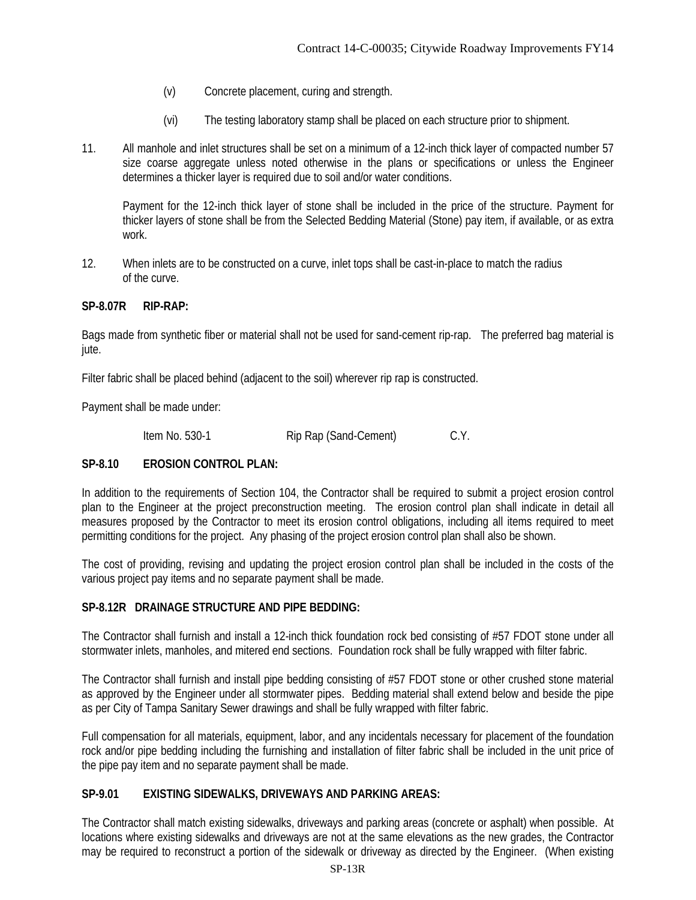- (v) Concrete placement, curing and strength.
- (vi) The testing laboratory stamp shall be placed on each structure prior to shipment.
- 11. All manhole and inlet structures shall be set on a minimum of a 12-inch thick layer of compacted number 57 size coarse aggregate unless noted otherwise in the plans or specifications or unless the Engineer determines a thicker layer is required due to soil and/or water conditions.

Payment for the 12-inch thick layer of stone shall be included in the price of the structure. Payment for thicker layers of stone shall be from the Selected Bedding Material (Stone) pay item, if available, or as extra work.

12. When inlets are to be constructed on a curve, inlet tops shall be cast-in-place to match the radius of the curve.

# **SP-8.07R RIP-RAP:**

Bags made from synthetic fiber or material shall not be used for sand-cement rip-rap. The preferred bag material is jute.

Filter fabric shall be placed behind (adjacent to the soil) wherever rip rap is constructed.

Payment shall be made under:

Item No. 530-1 Rip Rap (Sand-Cement) C.Y.

# **SP-8.10 EROSION CONTROL PLAN:**

In addition to the requirements of Section 104, the Contractor shall be required to submit a project erosion control plan to the Engineer at the project preconstruction meeting. The erosion control plan shall indicate in detail all measures proposed by the Contractor to meet its erosion control obligations, including all items required to meet permitting conditions for the project. Any phasing of the project erosion control plan shall also be shown.

The cost of providing, revising and updating the project erosion control plan shall be included in the costs of the various project pay items and no separate payment shall be made.

# **SP-8.12R DRAINAGE STRUCTURE AND PIPE BEDDING:**

The Contractor shall furnish and install a 12-inch thick foundation rock bed consisting of #57 FDOT stone under all stormwater inlets, manholes, and mitered end sections. Foundation rock shall be fully wrapped with filter fabric.

The Contractor shall furnish and install pipe bedding consisting of #57 FDOT stone or other crushed stone material as approved by the Engineer under all stormwater pipes. Bedding material shall extend below and beside the pipe as per City of Tampa Sanitary Sewer drawings and shall be fully wrapped with filter fabric.

Full compensation for all materials, equipment, labor, and any incidentals necessary for placement of the foundation rock and/or pipe bedding including the furnishing and installation of filter fabric shall be included in the unit price of the pipe pay item and no separate payment shall be made.

# **SP-9.01 EXISTING SIDEWALKS, DRIVEWAYS AND PARKING AREAS:**

The Contractor shall match existing sidewalks, driveways and parking areas (concrete or asphalt) when possible. At locations where existing sidewalks and driveways are not at the same elevations as the new grades, the Contractor may be required to reconstruct a portion of the sidewalk or driveway as directed by the Engineer. (When existing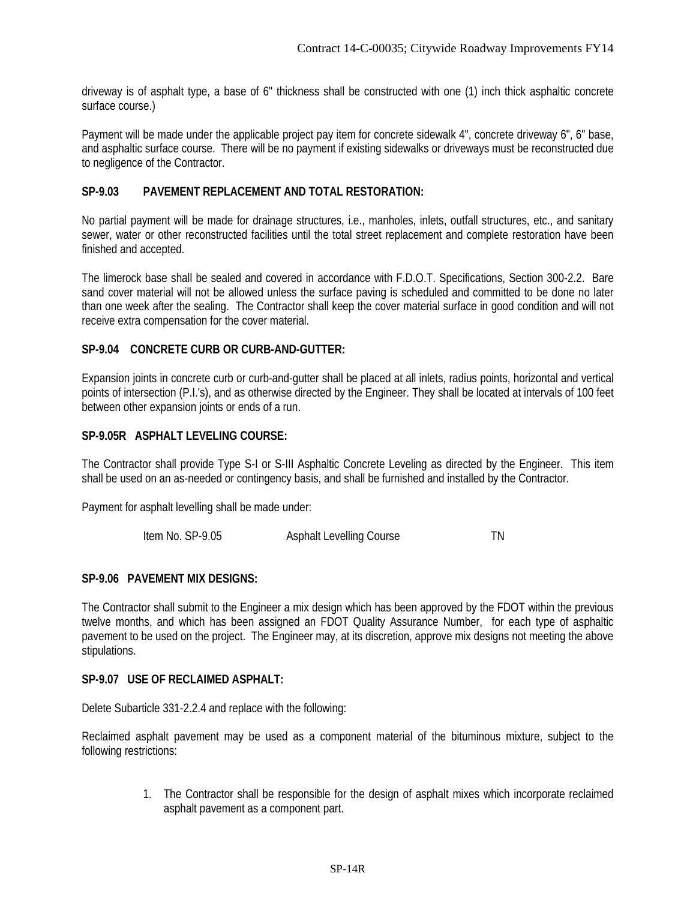driveway is of asphalt type, a base of 6" thickness shall be constructed with one (1) inch thick asphaltic concrete surface course.)

Payment will be made under the applicable project pay item for concrete sidewalk 4", concrete driveway 6", 6" base, and asphaltic surface course. There will be no payment if existing sidewalks or driveways must be reconstructed due to negligence of the Contractor.

## **SP-9.03 PAVEMENT REPLACEMENT AND TOTAL RESTORATION:**

No partial payment will be made for drainage structures, i.e., manholes, inlets, outfall structures, etc., and sanitary sewer, water or other reconstructed facilities until the total street replacement and complete restoration have been finished and accepted.

The limerock base shall be sealed and covered in accordance with F.D.O.T. Specifications, Section 300-2.2. Bare sand cover material will not be allowed unless the surface paving is scheduled and committed to be done no later than one week after the sealing. The Contractor shall keep the cover material surface in good condition and will not receive extra compensation for the cover material.

# **SP-9.04 CONCRETE CURB OR CURB-AND-GUTTER:**

Expansion joints in concrete curb or curb-and-gutter shall be placed at all inlets, radius points, horizontal and vertical points of intersection (P.I.'s), and as otherwise directed by the Engineer. They shall be located at intervals of 100 feet between other expansion joints or ends of a run.

## **SP-9.05R ASPHALT LEVELING COURSE:**

The Contractor shall provide Type S-I or S-III Asphaltic Concrete Leveling as directed by the Engineer. This item shall be used on an as-needed or contingency basis, and shall be furnished and installed by the Contractor.

Payment for asphalt levelling shall be made under:

| Item No. SP-9.05 | <b>Asphalt Levelling Course</b> |  |
|------------------|---------------------------------|--|
|                  |                                 |  |

## **SP-9.06 PAVEMENT MIX DESIGNS:**

The Contractor shall submit to the Engineer a mix design which has been approved by the FDOT within the previous twelve months, and which has been assigned an FDOT Quality Assurance Number, for each type of asphaltic pavement to be used on the project. The Engineer may, at its discretion, approve mix designs not meeting the above stipulations.

#### **SP-9.07 USE OF RECLAIMED ASPHALT:**

Delete Subarticle 331-2.2.4 and replace with the following:

Reclaimed asphalt pavement may be used as a component material of the bituminous mixture, subject to the following restrictions:

> 1. The Contractor shall be responsible for the design of asphalt mixes which incorporate reclaimed asphalt pavement as a component part.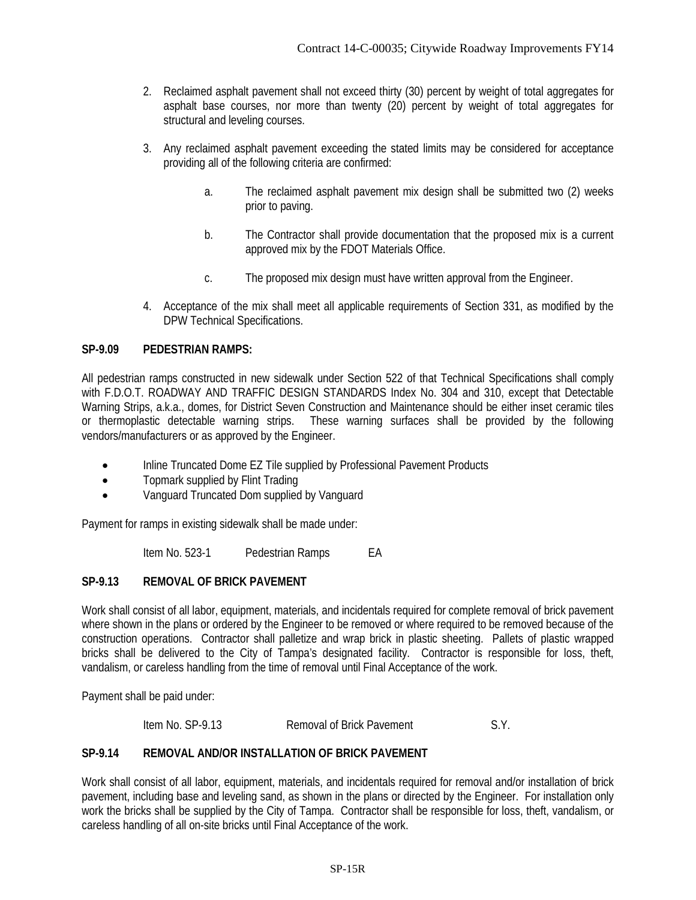- 2. Reclaimed asphalt pavement shall not exceed thirty (30) percent by weight of total aggregates for asphalt base courses, nor more than twenty (20) percent by weight of total aggregates for structural and leveling courses.
- 3. Any reclaimed asphalt pavement exceeding the stated limits may be considered for acceptance providing all of the following criteria are confirmed:
	- a. The reclaimed asphalt pavement mix design shall be submitted two (2) weeks prior to paving.
	- b. The Contractor shall provide documentation that the proposed mix is a current approved mix by the FDOT Materials Office.
	- c. The proposed mix design must have written approval from the Engineer.
- 4. Acceptance of the mix shall meet all applicable requirements of Section 331, as modified by the DPW Technical Specifications.

## **SP-9.09 PEDESTRIAN RAMPS:**

All pedestrian ramps constructed in new sidewalk under Section 522 of that Technical Specifications shall comply with F.D.O.T. ROADWAY AND TRAFFIC DESIGN STANDARDS Index No. 304 and 310, except that Detectable Warning Strips, a.k.a., domes, for District Seven Construction and Maintenance should be either inset ceramic tiles or thermoplastic detectable warning strips. These warning surfaces shall be provided by the following vendors/manufacturers or as approved by the Engineer.

- Inline Truncated Dome EZ Tile supplied by Professional Pavement Products
- Topmark supplied by Flint Trading
- Vanguard Truncated Dom supplied by Vanguard

Payment for ramps in existing sidewalk shall be made under:

Item No. 523-1 Pedestrian Ramps EA

# **SP-9.13 REMOVAL OF BRICK PAVEMENT**

Work shall consist of all labor, equipment, materials, and incidentals required for complete removal of brick pavement where shown in the plans or ordered by the Engineer to be removed or where required to be removed because of the construction operations. Contractor shall palletize and wrap brick in plastic sheeting. Pallets of plastic wrapped bricks shall be delivered to the City of Tampa's designated facility. Contractor is responsible for loss, theft, vandalism, or careless handling from the time of removal until Final Acceptance of the work.

Payment shall be paid under:

Item No. SP-9.13 Removal of Brick Pavement S.Y.

# **SP-9.14 REMOVAL AND/OR INSTALLATION OF BRICK PAVEMENT**

Work shall consist of all labor, equipment, materials, and incidentals required for removal and/or installation of brick pavement, including base and leveling sand, as shown in the plans or directed by the Engineer. For installation only work the bricks shall be supplied by the City of Tampa. Contractor shall be responsible for loss, theft, vandalism, or careless handling of all on-site bricks until Final Acceptance of the work.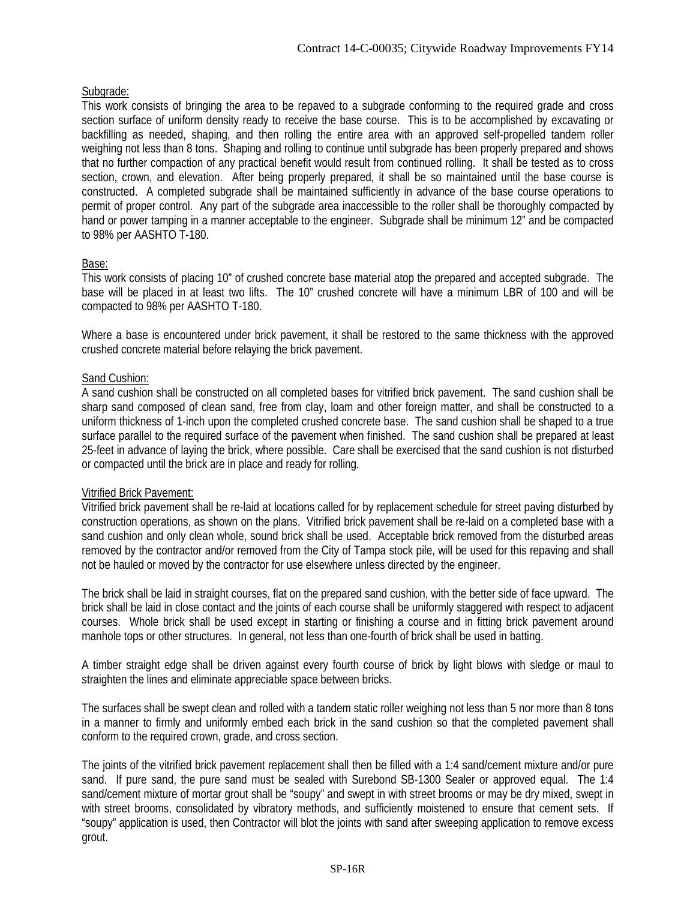# Subgrade:

This work consists of bringing the area to be repaved to a subgrade conforming to the required grade and cross section surface of uniform density ready to receive the base course. This is to be accomplished by excavating or backfilling as needed, shaping, and then rolling the entire area with an approved self-propelled tandem roller weighing not less than 8 tons. Shaping and rolling to continue until subgrade has been properly prepared and shows that no further compaction of any practical benefit would result from continued rolling. It shall be tested as to cross section, crown, and elevation. After being properly prepared, it shall be so maintained until the base course is constructed. A completed subgrade shall be maintained sufficiently in advance of the base course operations to permit of proper control. Any part of the subgrade area inaccessible to the roller shall be thoroughly compacted by hand or power tamping in a manner acceptable to the engineer. Subgrade shall be minimum 12" and be compacted to 98% per AASHTO T-180.

# Base:

This work consists of placing 10" of crushed concrete base material atop the prepared and accepted subgrade. The base will be placed in at least two lifts. The 10" crushed concrete will have a minimum LBR of 100 and will be compacted to 98% per AASHTO T-180.

Where a base is encountered under brick pavement, it shall be restored to the same thickness with the approved crushed concrete material before relaying the brick pavement.

# Sand Cushion:

A sand cushion shall be constructed on all completed bases for vitrified brick pavement. The sand cushion shall be sharp sand composed of clean sand, free from clay, loam and other foreign matter, and shall be constructed to a uniform thickness of 1-inch upon the completed crushed concrete base. The sand cushion shall be shaped to a true surface parallel to the required surface of the pavement when finished. The sand cushion shall be prepared at least 25-feet in advance of laying the brick, where possible. Care shall be exercised that the sand cushion is not disturbed or compacted until the brick are in place and ready for rolling.

# Vitrified Brick Pavement:

Vitrified brick pavement shall be re-laid at locations called for by replacement schedule for street paving disturbed by construction operations, as shown on the plans. Vitrified brick pavement shall be re-laid on a completed base with a sand cushion and only clean whole, sound brick shall be used. Acceptable brick removed from the disturbed areas removed by the contractor and/or removed from the City of Tampa stock pile, will be used for this repaving and shall not be hauled or moved by the contractor for use elsewhere unless directed by the engineer.

The brick shall be laid in straight courses, flat on the prepared sand cushion, with the better side of face upward. The brick shall be laid in close contact and the joints of each course shall be uniformly staggered with respect to adjacent courses. Whole brick shall be used except in starting or finishing a course and in fitting brick pavement around manhole tops or other structures. In general, not less than one-fourth of brick shall be used in batting.

A timber straight edge shall be driven against every fourth course of brick by light blows with sledge or maul to straighten the lines and eliminate appreciable space between bricks.

The surfaces shall be swept clean and rolled with a tandem static roller weighing not less than 5 nor more than 8 tons in a manner to firmly and uniformly embed each brick in the sand cushion so that the completed pavement shall conform to the required crown, grade, and cross section.

The joints of the vitrified brick pavement replacement shall then be filled with a 1:4 sand/cement mixture and/or pure sand. If pure sand, the pure sand must be sealed with Surebond SB-1300 Sealer or approved equal. The 1:4 sand/cement mixture of mortar grout shall be "soupy" and swept in with street brooms or may be dry mixed, swept in with street brooms, consolidated by vibratory methods, and sufficiently moistened to ensure that cement sets. If "soupy" application is used, then Contractor will blot the joints with sand after sweeping application to remove excess grout.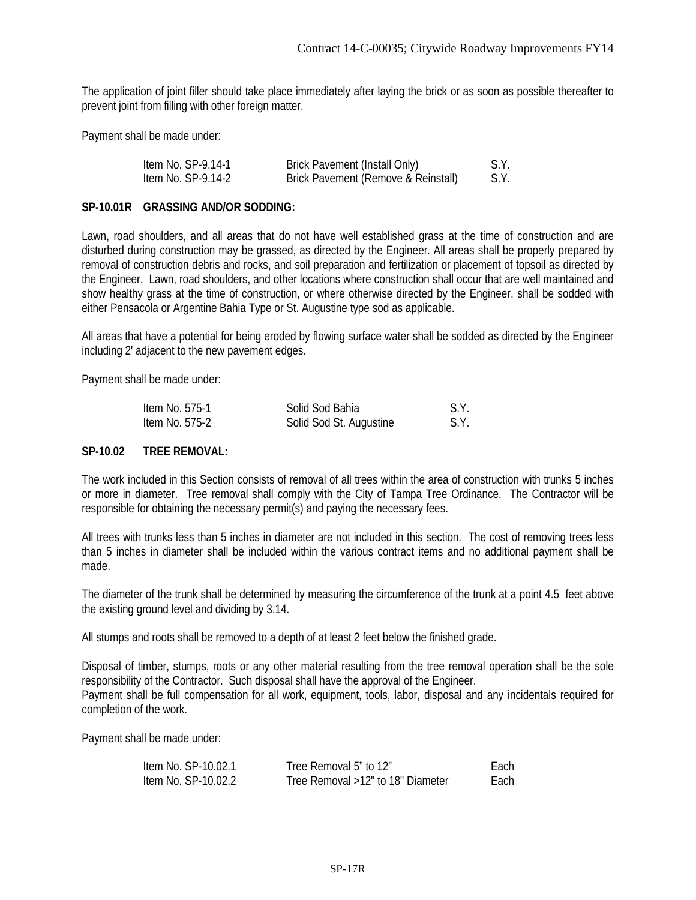The application of joint filler should take place immediately after laying the brick or as soon as possible thereafter to prevent joint from filling with other foreign matter.

Payment shall be made under:

| Item No. SP-9.14-1 | <b>Brick Pavement (Install Only)</b> | S.Y. |
|--------------------|--------------------------------------|------|
| Item No. SP-9.14-2 | Brick Pavement (Remove & Reinstall)  | S.Y. |

#### **SP-10.01R GRASSING AND/OR SODDING:**

Lawn, road shoulders, and all areas that do not have well established grass at the time of construction and are disturbed during construction may be grassed, as directed by the Engineer. All areas shall be properly prepared by removal of construction debris and rocks, and soil preparation and fertilization or placement of topsoil as directed by the Engineer. Lawn, road shoulders, and other locations where construction shall occur that are well maintained and show healthy grass at the time of construction, or where otherwise directed by the Engineer, shall be sodded with either Pensacola or Argentine Bahia Type or St. Augustine type sod as applicable.

All areas that have a potential for being eroded by flowing surface water shall be sodded as directed by the Engineer including 2' adjacent to the new pavement edges.

Payment shall be made under:

| ltem No. 575-1 | Solid Sod Bahia         | S.Y. |
|----------------|-------------------------|------|
| ltem No. 575-2 | Solid Sod St. Augustine | S.Y. |

## **SP-10.02 TREE REMOVAL:**

The work included in this Section consists of removal of all trees within the area of construction with trunks 5 inches or more in diameter. Tree removal shall comply with the City of Tampa Tree Ordinance. The Contractor will be responsible for obtaining the necessary permit(s) and paying the necessary fees.

All trees with trunks less than 5 inches in diameter are not included in this section. The cost of removing trees less than 5 inches in diameter shall be included within the various contract items and no additional payment shall be made.

The diameter of the trunk shall be determined by measuring the circumference of the trunk at a point 4.5 feet above the existing ground level and dividing by 3.14.

All stumps and roots shall be removed to a depth of at least 2 feet below the finished grade.

Disposal of timber, stumps, roots or any other material resulting from the tree removal operation shall be the sole responsibility of the Contractor. Such disposal shall have the approval of the Engineer. Payment shall be full compensation for all work, equipment, tools, labor, disposal and any incidentals required for completion of the work.

Payment shall be made under:

| Item No. SP-10.02.1 | Tree Removal 5" to 12"            | Each |
|---------------------|-----------------------------------|------|
| ltem No. SP-10.02.2 | Tree Removal >12" to 18" Diameter | Each |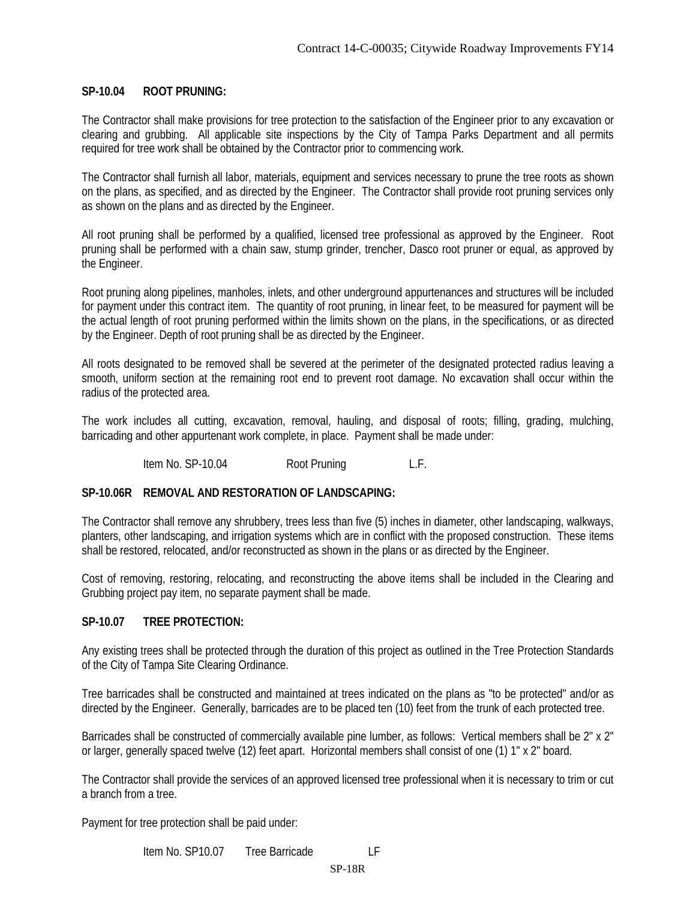## **SP-10.04 ROOT PRUNING:**

The Contractor shall make provisions for tree protection to the satisfaction of the Engineer prior to any excavation or clearing and grubbing. All applicable site inspections by the City of Tampa Parks Department and all permits required for tree work shall be obtained by the Contractor prior to commencing work.

The Contractor shall furnish all labor, materials, equipment and services necessary to prune the tree roots as shown on the plans, as specified, and as directed by the Engineer. The Contractor shall provide root pruning services only as shown on the plans and as directed by the Engineer.

All root pruning shall be performed by a qualified, licensed tree professional as approved by the Engineer. Root pruning shall be performed with a chain saw, stump grinder, trencher, Dasco root pruner or equal, as approved by the Engineer.

Root pruning along pipelines, manholes, inlets, and other underground appurtenances and structures will be included for payment under this contract item. The quantity of root pruning, in linear feet, to be measured for payment will be the actual length of root pruning performed within the limits shown on the plans, in the specifications, or as directed by the Engineer. Depth of root pruning shall be as directed by the Engineer.

All roots designated to be removed shall be severed at the perimeter of the designated protected radius leaving a smooth, uniform section at the remaining root end to prevent root damage. No excavation shall occur within the radius of the protected area.

The work includes all cutting, excavation, removal, hauling, and disposal of roots; filling, grading, mulching, barricading and other appurtenant work complete, in place. Payment shall be made under:

Item No. SP-10.04 Root Pruning L.F.

## **SP-10.06R REMOVAL AND RESTORATION OF LANDSCAPING:**

The Contractor shall remove any shrubbery, trees less than five (5) inches in diameter, other landscaping, walkways, planters, other landscaping, and irrigation systems which are in conflict with the proposed construction. These items shall be restored, relocated, and/or reconstructed as shown in the plans or as directed by the Engineer.

Cost of removing, restoring, relocating, and reconstructing the above items shall be included in the Clearing and Grubbing project pay item, no separate payment shall be made.

## **SP-10.07 TREE PROTECTION:**

Any existing trees shall be protected through the duration of this project as outlined in the Tree Protection Standards of the City of Tampa Site Clearing Ordinance.

Tree barricades shall be constructed and maintained at trees indicated on the plans as "to be protected" and/or as directed by the Engineer. Generally, barricades are to be placed ten (10) feet from the trunk of each protected tree.

Barricades shall be constructed of commercially available pine lumber, as follows: Vertical members shall be 2" x 2" or larger, generally spaced twelve (12) feet apart. Horizontal members shall consist of one (1) 1" x 2" board.

The Contractor shall provide the services of an approved licensed tree professional when it is necessary to trim or cut a branch from a tree.

Payment for tree protection shall be paid under:

Item No. SP10.07 Tree Barricade LF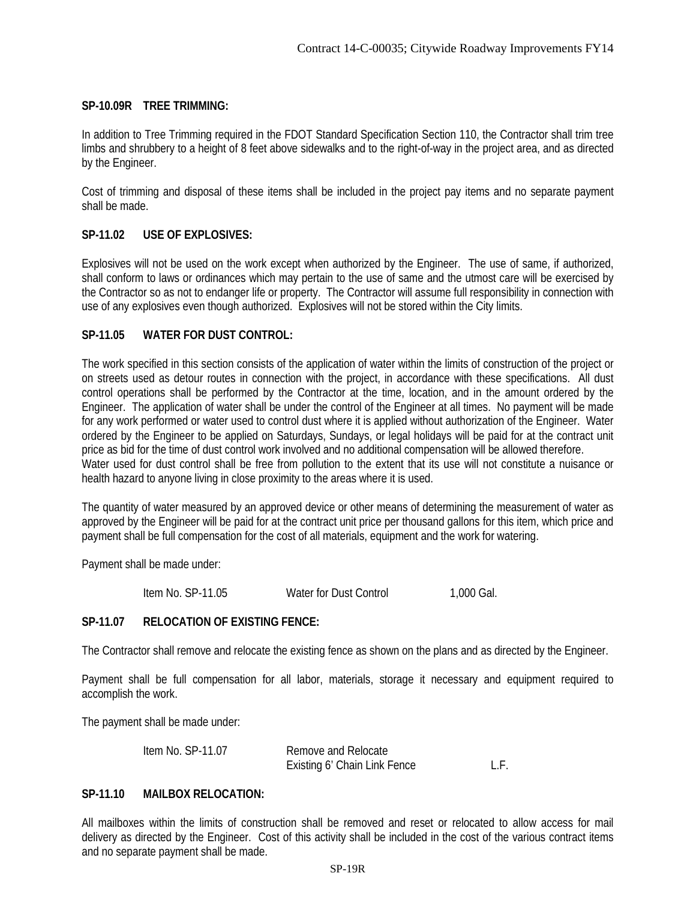# **SP-10.09R TREE TRIMMING:**

In addition to Tree Trimming required in the FDOT Standard Specification Section 110, the Contractor shall trim tree limbs and shrubbery to a height of 8 feet above sidewalks and to the right-of-way in the project area, and as directed by the Engineer.

Cost of trimming and disposal of these items shall be included in the project pay items and no separate payment shall be made.

# **SP-11.02 USE OF EXPLOSIVES:**

Explosives will not be used on the work except when authorized by the Engineer. The use of same, if authorized, shall conform to laws or ordinances which may pertain to the use of same and the utmost care will be exercised by the Contractor so as not to endanger life or property. The Contractor will assume full responsibility in connection with use of any explosives even though authorized. Explosives will not be stored within the City limits.

# **SP-11.05 WATER FOR DUST CONTROL:**

The work specified in this section consists of the application of water within the limits of construction of the project or on streets used as detour routes in connection with the project, in accordance with these specifications. All dust control operations shall be performed by the Contractor at the time, location, and in the amount ordered by the Engineer. The application of water shall be under the control of the Engineer at all times. No payment will be made for any work performed or water used to control dust where it is applied without authorization of the Engineer. Water ordered by the Engineer to be applied on Saturdays, Sundays, or legal holidays will be paid for at the contract unit price as bid for the time of dust control work involved and no additional compensation will be allowed therefore. Water used for dust control shall be free from pollution to the extent that its use will not constitute a nuisance or health hazard to anyone living in close proximity to the areas where it is used.

The quantity of water measured by an approved device or other means of determining the measurement of water as approved by the Engineer will be paid for at the contract unit price per thousand gallons for this item, which price and payment shall be full compensation for the cost of all materials, equipment and the work for watering.

Payment shall be made under:

Item No. SP-11.05 Water for Dust Control 1,000 Gal.

# **SP-11.07 RELOCATION OF EXISTING FENCE:**

The Contractor shall remove and relocate the existing fence as shown on the plans and as directed by the Engineer.

Payment shall be full compensation for all labor, materials, storage it necessary and equipment required to accomplish the work.

The payment shall be made under:

| Item No. SP-11.07 | Remove and Relocate          |  |
|-------------------|------------------------------|--|
|                   | Existing 6' Chain Link Fence |  |

# **SP-11.10 MAILBOX RELOCATION:**

All mailboxes within the limits of construction shall be removed and reset or relocated to allow access for mail delivery as directed by the Engineer. Cost of this activity shall be included in the cost of the various contract items and no separate payment shall be made.